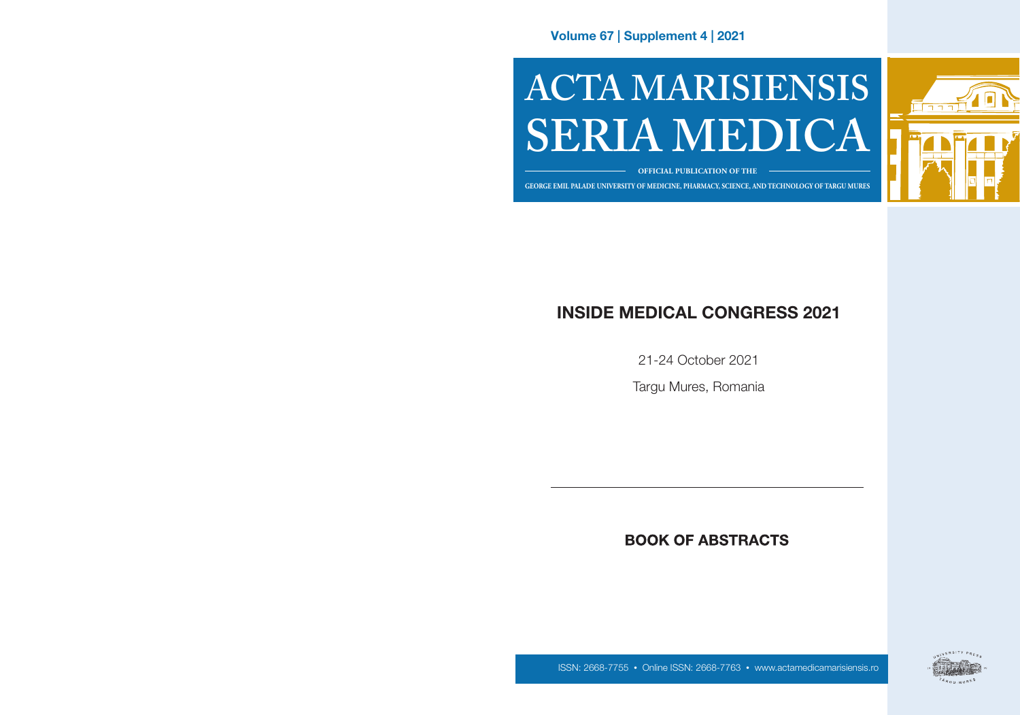Volume 67 | Supplement 4 | 2021

# **ACTA MARISIENSIS SERIA MEDICA**



#### **OFFICIAL PUBLICATION OF THE**

**GEORGE EMIL PALADE UNIVERSITY OF MEDICINE, PHARMACY, SCIENCE, AND TECHNOLOGY OF TARGU MURES GEORGE EMIL PALADE UNIVERSITY OF MEDICINE, PHARMACY, SCIENCE, AND TECHNOLOGY OF TÂRGU MUREȘ**

# INSIDE MEDICAL CONGRESS 2021

21-24 October 2021

Targu Mures, Romania

# **BOOK OF ABSTRACTS**



ISSN: 2668-7755 • Online ISSN: 2668-7763 • www.actamedicamarisiensis.ro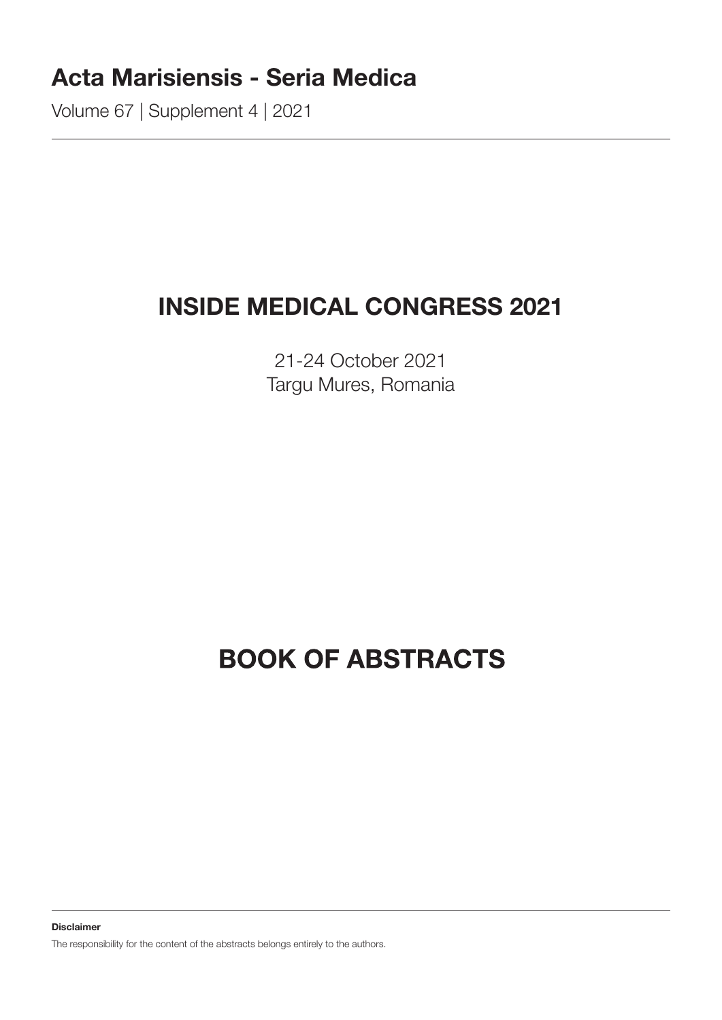# Acta Marisiensis - Seria Medica

Volume 67 | Supplement 4 | 2021

# INSIDE MEDICAL CONGRESS 2021

21-24 October 2021 Targu Mures, Romania

# **BOOK OF ABSTRACTS**

Disclaimer

The responsibility for the content of the abstracts belongs entirely to the authors.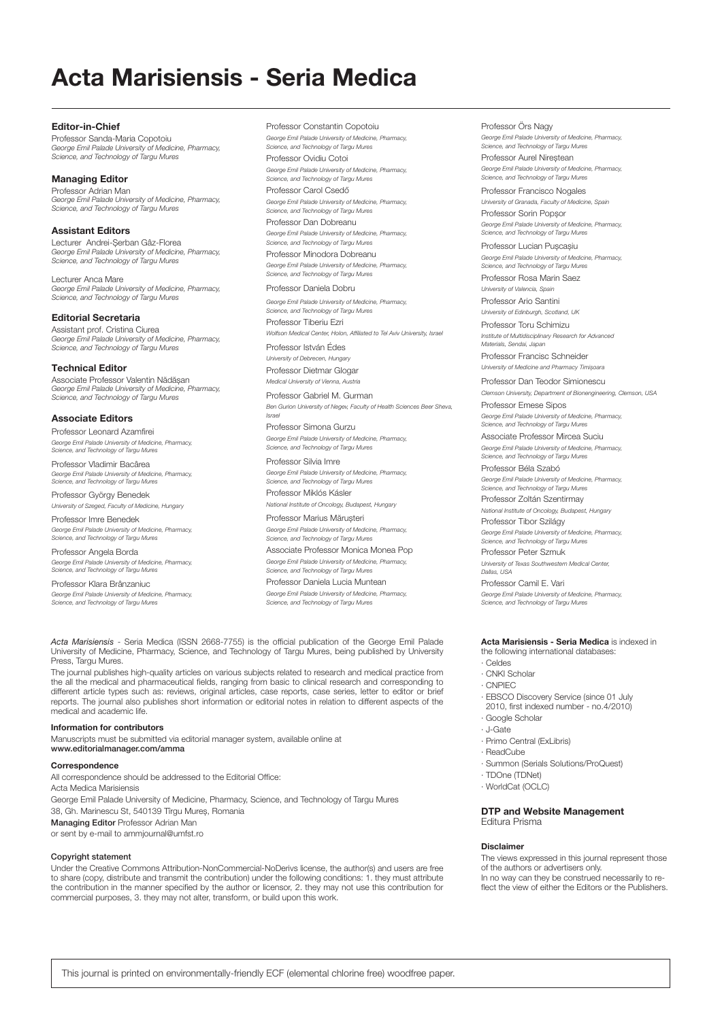# Acta Marisiensis - Seria Medica

Editor-in-Chief Professor Sanda-Maria Copotoiu *George Emil Palade University of Medicine, Pharmacy, Science, and Technology of Targu Mures*

#### Managing Editor

Professor Adrian Man *George Emil Palade University of Medicine, Pharmacy, Science, and Technology of Targu Mures*

#### Assistant Editors

Lecturer Andrei-Șerban Gâz-Florea *George Emil Palade University of Medicine, Pharmacy, Science, and Technology of Targu Mures*

Lecturer Anca Mare *George Emil Palade University of Medicine, Pharmacy, Science, and Technology of Targu Mures*

Editorial Secretaria

Assistant prof. Cristina Ciurea *George Emil Palade University of Medicine, Pharmacy, Science, and Technology of Targu Mures* 

#### Technical Editor

Associate Professor Valentin Nădășan *George Emil Palade University of Medicine, Pharmacy, Science, and Technology of Targu Mures*

#### Associate Editors

Professor Leonard Azamfirei *George Emil Palade University of Medicine, Pharmacy, Science, and Technology of Targu Mures*

Professor Vladimir Bacârea *George Emil Palade University of Medicine, Pharmacy, Science, and Technology of Targu Mures*

Professor György Benedek *University of Szeged, Faculty of Medicine, Hungary*

Professor Imre Benedek *George Emil Palade University of Medicine, Pharmacy, Science, and Technology of Targu Mures*

Professor Angela Borda *George Emil Palade University of Medicine, Pharmacy, Science, and Technology of Targu Mures*

Professor Klara Brânzaniuc *George Emil Palade University of Medicine, Pharmacy, Science, and Technology of Targu Mures* Professor Constantin Copotoiu *George Emil Palade University of Medicine, Pharmacy, Science, and Technology of Targu Mures* Professor Ovidiu Cotoi

*George Emil Palade University of Medicine, Pharmacy, Science, and Technology of Targu Mures*

Professor Carol Csedő *George Emil Palade University of Medicine, Pharmacy, Science, and Technology of Targu Mures*

Professor Dan Dobreanu *George Emil Palade University of Medicine, Pharmacy, Science, and Technology of Targu Mures* Professor Minodora Dobreanu *George Emil Palade University of Medicine, Pharmacy, Science, and Technology of Targu Mures*

Professor Daniela Dobru

*George Emil Palade University of Medicine, Pharmacy, Science, and Technology of Targu Mures* Professor Tiberiu Ezri

*Wolfson Medical Center, Holon, Affiliated to Tel Aviv University, Israel*

Professor István Édes *University of Debrecen, Hungary* Professor Dietmar Glogar

*Medical University of Vienna, Austria* Professor Gabriel M. Gurman

*Ben Gurion University of Negev, Faculty of Health Sciences Beer Sheva, Israel*

Professor Simona Gurzu *George Emil Palade University of Medicine, Pharmacy, Science, and Technology of Targu Mures*

Professor Silvia Imre *George Emil Palade University of Medicine, Pharmacy, Science, and Technology of Targu Mures*

Professor Miklós Kásler *National Institute of Oncology, Budapest, Hungary*

Professor Marius Mărușteri *George Emil Palade University of Medicine, Pharmacy, Science, and Technology of Targu Mures*

Associate Professor Monica Monea Pop *George Emil Palade University of Medicine, Pharmacy, Science, and Technology of Targu Mures*

Professor Daniela Lucia Muntean *George Emil Palade University of Medicine, Pharmacy, Science, and Technology of Targu Mures*

*Acta Marisiensis* - Seria Medica (ISSN 2668-7755) is the official publication of the George Emil Palade University of Medicine, Pharmacy, Science, and Technology of Targu Mures, being published by University Press, Targu Mures.

The journal publishes high-quality articles on various subjects related to research and medical practice from the all the medical and pharmaceutical fields, ranging from basic to clinical research and corresponding to different article types such as: reviews, original articles, case reports, case series, letter to editor or brief reports. The journal also publishes short information or editorial notes in relation to different aspects of the medical and academic life.

#### Information for contributors

Manuscripts must be submitted via editorial manager system, available online at www.editorialmanager.com/amma

#### **Correspondence**

All correspondence should be addressed to the Editorial Office: Acta Medica Marisiensis George Emil Palade University of Medicine, Pharmacy, Science, and Technology of Targu Mures 38, Gh. Marinescu St, 540139 Tîrgu Mureș, Romania

Managing Editor Professor Adrian Man

or sent by e-mail to ammjournal@umfst.ro

#### Copyright statement

Under the Creative Commons Attribution-NonCommercial-NoDerivs license, the author(s) and users are free to share (copy, distribute and transmit the contribution) under the following conditions: 1. they must attribute the contribution in the manner specified by the author or licensor, 2. they may not use this contribution for commercial purposes, 3. they may not alter, transform, or build upon this work.

#### Professor Örs Nagy

*George Emil Palade University of Medicine, Pharmacy, Science, and Technology of Targu Mures* Professor Aurel Nireștean

*George Emil Palade University of Medicine, Pharmacy, Science, and Technology of Targu Mures*

Professor Francisco Nogales *University of Granada, Faculty of Medicine, Spain* Professor Sorin Popșor *George Emil Palade University of Medicine, Pharmacy,* 

*Science, and Technology of Targu Mures* Professor Lucian Pușcașiu

*George Emil Palade University of Medicine, Pharmacy, Science, and Technology of Targu Mures*

Professor Rosa Marin Saez *University of Valencia, Spain*

Professor Ario Santini *University of Edinburgh, Scotland, UK*

Professor Toru Schimizu *Institute of Multidisciplinary Research for Advanced Materials, Sendai, Japan*

Professor Francisc Schneider *University of Medicine and Pharmacy Timișoara*

Professor Dan Teodor Simionescu *Clemson University, Department of Bionengineering, Clemson, USA*

Professor Emese Sipos *George Emil Palade University of Medicine, Pharmacy, Science, and Technology of Targu Mures*

Associate Professor Mircea Suciu *George Emil Palade University of Medicine, Pharmacy, Science, and Technology of Targu Mures*

Professor Béla Szabó *George Emil Palade University of Medicine, Pharmacy, Science, and Technology of Targu Mures*

Professor Zoltán Szentirmay

*National Institute of Oncology, Budapest, Hungary* Professor Tibor Szilágy

*George Emil Palade University of Medicine, Pharmacy, Science, and Technology of Targu Mures*

Professor Peter Szmuk *University of Texas Southwestern Medical Center, Dallas, USA*

Professor Camil E. Vari *George Emil Palade University of Medicine, Pharmacy, Science, and Technology of Targu Mures*

#### Acta Marisiensis - Seria Medica is indexed in the following international databases:

· Celdes

· CNKI Scholar

- · CNPIEC
- 
- · EBSCO Discovery Service (since 01 July 2010, first indexed number - no.4/2010) · Google Scholar
- · J-Gate
- · Primo Central (ExLibris)
- · ReadCube
- · Summon (Serials Solutions/ProQuest)
- · TDOne (TDNet)
- · WorldCat (OCLC)

#### DTP and Website Management Editura Prisma

#### Disclaimer

The views expressed in this journal represent those of the authors or advertisers only. In no way can they be construed necessarily to reflect the view of either the Editors or the Publishers.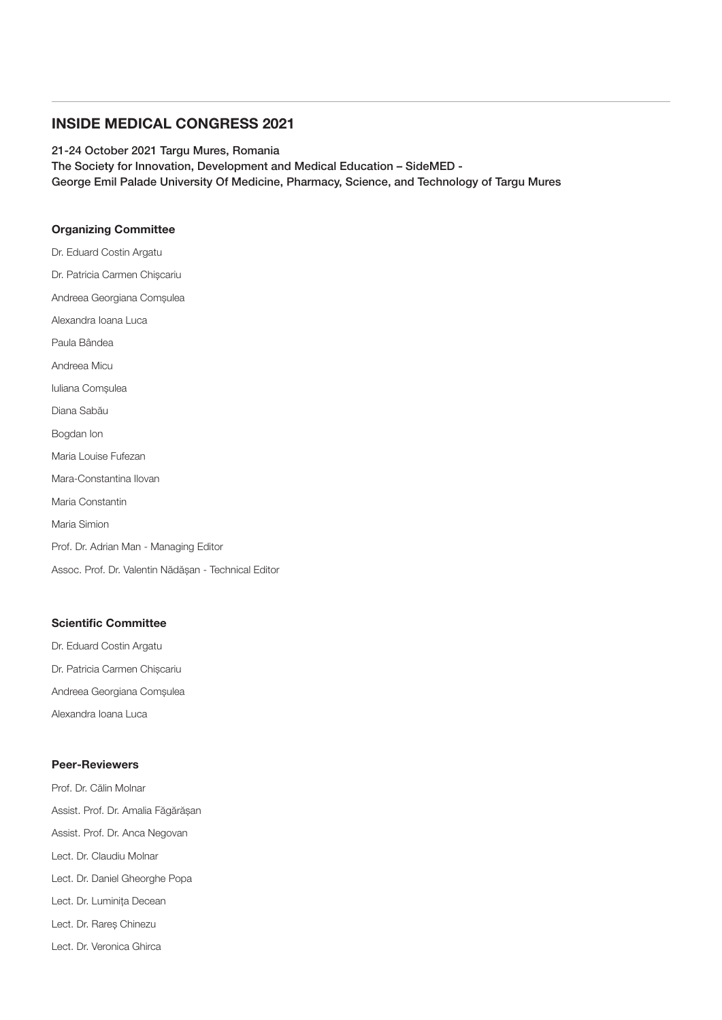#### INSIDE MEDICAL CONGRESS 2021

21-24 October 2021 Targu Mures, Romania The Society for Innovation, Development and Medical Education – SideMED - George Emil Palade University Of Medicine, Pharmacy, Science, and Technology of Targu Mures

#### Organizing Committee

Dr. Eduard Costin Argatu Dr. Patricia Carmen Chișcariu Andreea Georgiana Comșulea Alexandra Ioana Luca Paula Bândea Andreea Micu Iuliana Comșulea Diana Sabău Bogdan Ion Maria Louise Fufezan Mara-Constantina Ilovan Maria Constantin Maria Simion Prof. Dr. Adrian Man - Managing Editor Assoc. Prof. Dr. Valentin Nădășan - Technical Editor

#### Scientific Committee

Dr. Eduard Costin Argatu Dr. Patricia Carmen Chișcariu Andreea Georgiana Comșulea Alexandra Ioana Luca

#### Peer-Reviewers

Prof. Dr. Călin Molnar Assist. Prof. Dr. Amalia Făgărășan Assist. Prof. Dr. Anca Negovan Lect. Dr. Claudiu Molnar Lect. Dr. Daniel Gheorghe Popa Lect. Dr. Luminița Decean Lect. Dr. Rareș Chinezu Lect. Dr. Veronica Ghirca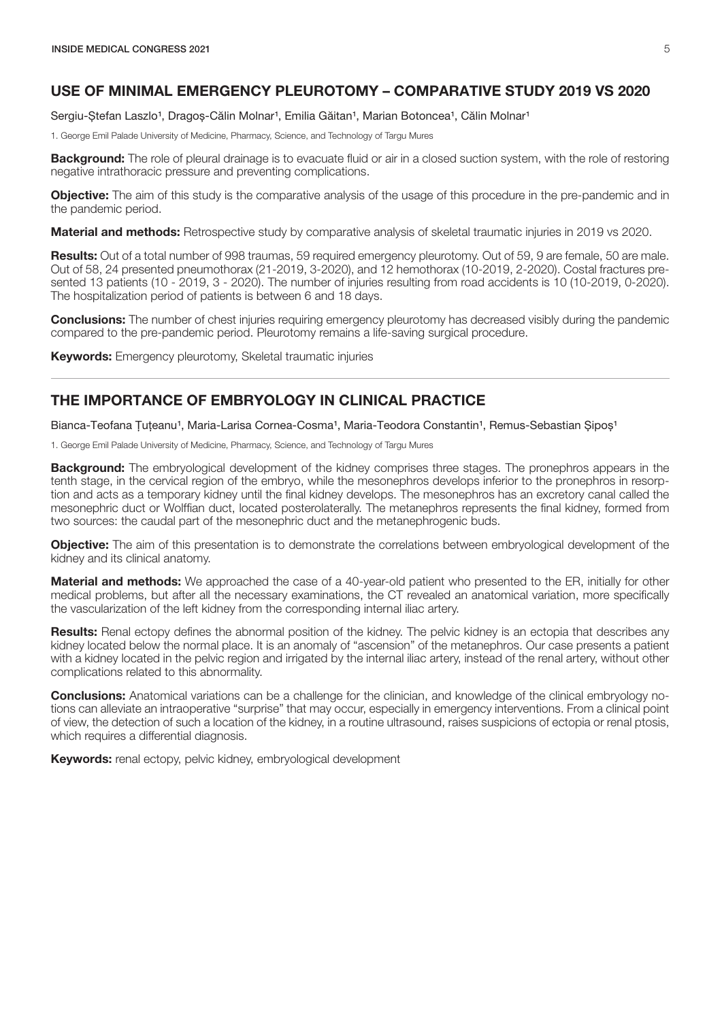## <span id="page-6-0"></span>USE OF MINIMAL EMERGENCY PLEUROTOMY – COMPARATIVE STUDY 2019 VS 2020

Sergiu-Stefan Laszlo<sup>1</sup>, Dragos-Călin Molnar<sup>1</sup>, Emilia Găitan<sup>1</sup>, Marian Botoncea<sup>1</sup>, Călin Molnar<sup>1</sup>

1. George Emil Palade University of Medicine, Pharmacy, Science, and Technology of Targu Mures

**Background:** The role of pleural drainage is to evacuate fluid or air in a closed suction system, with the role of restoring negative intrathoracic pressure and preventing complications.

**Objective:** The aim of this study is the comparative analysis of the usage of this procedure in the pre-pandemic and in the pandemic period.

Material and methods: Retrospective study by comparative analysis of skeletal traumatic injuries in 2019 vs 2020.

Results: Out of a total number of 998 traumas, 59 required emergency pleurotomy. Out of 59, 9 are female, 50 are male. Out of 58, 24 presented pneumothorax (21-2019, 3-2020), and 12 hemothorax (10-2019, 2-2020). Costal fractures presented 13 patients (10 - 2019, 3 - 2020). The number of injuries resulting from road accidents is 10 (10-2019, 0-2020). The hospitalization period of patients is between 6 and 18 days.

Conclusions: The number of chest injuries requiring emergency pleurotomy has decreased visibly during the pandemic compared to the pre-pandemic period. Pleurotomy remains a life-saving surgical procedure.

**Keywords:** Emergency pleurotomy, Skeletal traumatic injuries

# THE IMPORTANCE OF EMBRYOLOGY IN CLINICAL PRACTICE

Bianca-Teofana Tuteanu<sup>1</sup>, Maria-Larisa Cornea-Cosma<sup>1</sup>, Maria-Teodora Constantin<sup>1</sup>, Remus-Sebastian Sipos<sup>1</sup>

1. George Emil Palade University of Medicine, Pharmacy, Science, and Technology of Targu Mures

**Background:** The embryological development of the kidney comprises three stages. The pronephros appears in the tenth stage, in the cervical region of the embryo, while the mesonephros develops inferior to the pronephros in resorption and acts as a temporary kidney until the final kidney develops. The mesonephros has an excretory canal called the mesonephric duct or Wolffian duct, located posterolaterally. The metanephros represents the final kidney, formed from two sources: the caudal part of the mesonephric duct and the metanephrogenic buds.

**Objective:** The aim of this presentation is to demonstrate the correlations between embryological development of the kidney and its clinical anatomy.

Material and methods: We approached the case of a 40-year-old patient who presented to the ER, initially for other medical problems, but after all the necessary examinations, the CT revealed an anatomical variation, more specifically the vascularization of the left kidney from the corresponding internal iliac artery.

Results: Renal ectopy defines the abnormal position of the kidney. The pelvic kidney is an ectopia that describes any kidney located below the normal place. It is an anomaly of "ascension" of the metanephros. Our case presents a patient with a kidney located in the pelvic region and irrigated by the internal iliac artery, instead of the renal artery, without other complications related to this abnormality.

**Conclusions:** Anatomical variations can be a challenge for the clinician, and knowledge of the clinical embryology notions can alleviate an intraoperative "surprise" that may occur, especially in emergency interventions. From a clinical point of view, the detection of such a location of the kidney, in a routine ultrasound, raises suspicions of ectopia or renal ptosis, which requires a differential diagnosis.

**Keywords:** renal ectopy, pelvic kidney, embryological development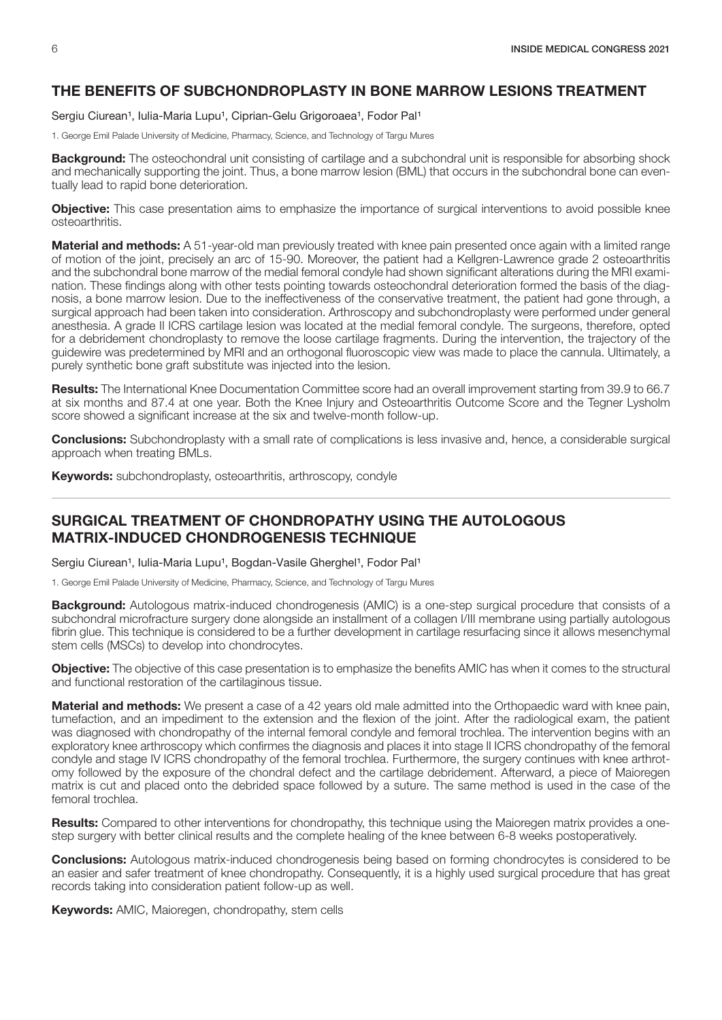## <span id="page-7-0"></span>THE BENEFITS OF SUBCHONDROPLASTY IN BONE MARROW LESIONS TREATMENT

Sergiu Ciurean<sup>1</sup>, Iulia-Maria Lupu<sup>1</sup>, Ciprian-Gelu Grigoroaea<sup>1</sup>, Fodor Pal<sup>1</sup>

1. George Emil Palade University of Medicine, Pharmacy, Science, and Technology of Targu Mures

**Background:** The osteochondral unit consisting of cartilage and a subchondral unit is responsible for absorbing shock and mechanically supporting the joint. Thus, a bone marrow lesion (BML) that occurs in the subchondral bone can eventually lead to rapid bone deterioration.

Objective: This case presentation aims to emphasize the importance of surgical interventions to avoid possible knee osteoarthritis.

Material and methods: A 51-year-old man previously treated with knee pain presented once again with a limited range of motion of the joint, precisely an arc of 15-90. Moreover, the patient had a Kellgren-Lawrence grade 2 osteoarthritis and the subchondral bone marrow of the medial femoral condyle had shown significant alterations during the MRI examination. These findings along with other tests pointing towards osteochondral deterioration formed the basis of the diagnosis, a bone marrow lesion. Due to the ineffectiveness of the conservative treatment, the patient had gone through, a surgical approach had been taken into consideration. Arthroscopy and subchondroplasty were performed under general anesthesia. A grade II ICRS cartilage lesion was located at the medial femoral condyle. The surgeons, therefore, opted for a debridement chondroplasty to remove the loose cartilage fragments. During the intervention, the trajectory of the guidewire was predetermined by MRI and an orthogonal fluoroscopic view was made to place the cannula. Ultimately, a purely synthetic bone graft substitute was injected into the lesion.

Results: The International Knee Documentation Committee score had an overall improvement starting from 39.9 to 66.7 at six months and 87.4 at one year. Both the Knee Injury and Osteoarthritis Outcome Score and the Tegner Lysholm score showed a significant increase at the six and twelve-month follow-up.

Conclusions: Subchondroplasty with a small rate of complications is less invasive and, hence, a considerable surgical approach when treating BMLs.

Keywords: subchondroplasty, osteoarthritis, arthroscopy, condyle

#### SURGICAL TREATMENT OF CHONDROPATHY USING THE AUTOLOGOUS MATRIX-INDUCED CHONDROGENESIS TECHNIQUE

Sergiu Ciurean<sup>1</sup>, Iulia-Maria Lupu<sup>1</sup>, Bogdan-Vasile Gherghel<sup>1</sup>, Fodor Pal<sup>1</sup>

1. George Emil Palade University of Medicine, Pharmacy, Science, and Technology of Targu Mures

**Background:** Autologous matrix-induced chondrogenesis (AMIC) is a one-step surgical procedure that consists of a subchondral microfracture surgery done alongside an installment of a collagen I/III membrane using partially autologous fibrin glue. This technique is considered to be a further development in cartilage resurfacing since it allows mesenchymal stem cells (MSCs) to develop into chondrocytes.

Objective: The objective of this case presentation is to emphasize the benefits AMIC has when it comes to the structural and functional restoration of the cartilaginous tissue.

Material and methods: We present a case of a 42 years old male admitted into the Orthopaedic ward with knee pain, tumefaction, and an impediment to the extension and the flexion of the joint. After the radiological exam, the patient was diagnosed with chondropathy of the internal femoral condyle and femoral trochlea. The intervention begins with an exploratory knee arthroscopy which confirmes the diagnosis and places it into stage II ICRS chondropathy of the femoral condyle and stage IV ICRS chondropathy of the femoral trochlea. Furthermore, the surgery continues with knee arthrotomy followed by the exposure of the chondral defect and the cartilage debridement. Afterward, a piece of Maioregen matrix is cut and placed onto the debrided space followed by a suture. The same method is used in the case of the femoral trochlea.

Results: Compared to other interventions for chondropathy, this technique using the Maioregen matrix provides a onestep surgery with better clinical results and the complete healing of the knee between 6-8 weeks postoperatively.

**Conclusions:** Autologous matrix-induced chondrogenesis being based on forming chondrocytes is considered to be an easier and safer treatment of knee chondropathy. Consequently, it is a highly used surgical procedure that has great records taking into consideration patient follow-up as well.

Keywords: AMIC, Maioregen, chondropathy, stem cells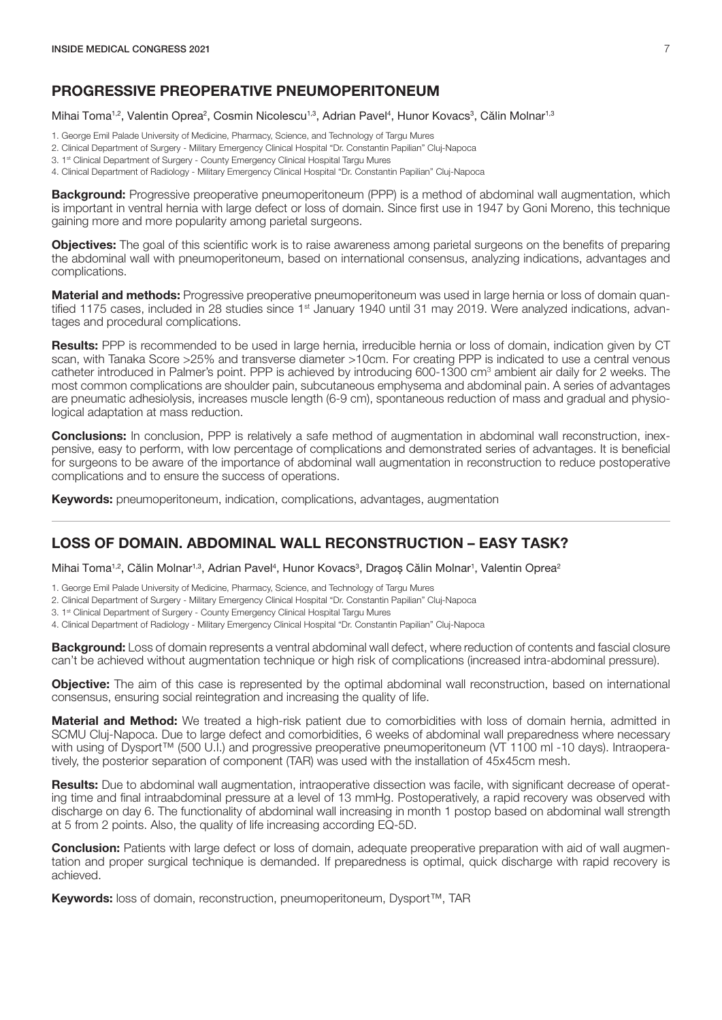#### <span id="page-8-0"></span>PROGRESSIVE PREOPERATIVE PNEUMOPERITONEUM

Mihai Toma<sup>1,2</sup>, Valentin Oprea<sup>2</sup>, Cosmin Nicolescu<sup>1,3</sup>, Adrian Pavel<sup>4</sup>, Hunor Kovacs<sup>3</sup>, Călin Molnar<sup>1,3</sup>

- 1. George Emil Palade University of Medicine, Pharmacy, Science, and Technology of Targu Mures
- 2. Clinical Department of Surgery Military Emergency Clinical Hospital "Dr. Constantin Papilian" Cluj-Napoca
- 3. 1<sup>st</sup> Clinical Department of Surgery County Emergency Clinical Hospital Targu Mures
- 4. Clinical Department of Radiology Military Emergency Clinical Hospital "Dr. Constantin Papilian" Cluj-Napoca

**Background:** Progressive preoperative pneumoperitoneum (PPP) is a method of abdominal wall augmentation, which is important in ventral hernia with large defect or loss of domain. Since first use in 1947 by Goni Moreno, this technique gaining more and more popularity among parietal surgeons.

**Objectives:** The goal of this scientific work is to raise awareness among parietal surgeons on the benefits of preparing the abdominal wall with pneumoperitoneum, based on international consensus, analyzing indications, advantages and complications.

**Material and methods:** Progressive preoperative pneumoperitoneum was used in large hernia or loss of domain quantified 1175 cases, included in 28 studies since  $1<sup>st</sup>$  January 1940 until 31 may 2019. Were analyzed indications, advantages and procedural complications.

Results: PPP is recommended to be used in large hernia, irreducible hernia or loss of domain, indication given by CT scan, with Tanaka Score >25% and transverse diameter >10cm. For creating PPP is indicated to use a central venous catheter introduced in Palmer's point. PPP is achieved by introducing 600-1300 cm<sup>3</sup> ambient air daily for 2 weeks. The most common complications are shoulder pain, subcutaneous emphysema and abdominal pain. A series of advantages are pneumatic adhesiolysis, increases muscle length (6-9 cm), spontaneous reduction of mass and gradual and physiological adaptation at mass reduction.

**Conclusions:** In conclusion, PPP is relatively a safe method of augmentation in abdominal wall reconstruction, inexpensive, easy to perform, with low percentage of complications and demonstrated series of advantages. It is beneficial for surgeons to be aware of the importance of abdominal wall augmentation in reconstruction to reduce postoperative complications and to ensure the success of operations.

**Keywords:** pneumoperitoneum, indication, complications, advantages, augmentation

#### LOSS OF DOMAIN. ABDOMINAL WALL RECONSTRUCTION – EASY TASK?

Mihai Toma<sup>1,2</sup>, Călin Molnar<sup>1,3</sup>, Adrian Pavel<sup>4</sup>, Hunor Kovacs<sup>3</sup>, Dragoș Călin Molnar<sup>1</sup>, Valentin Oprea<sup>2</sup>

- 1. George Emil Palade University of Medicine, Pharmacy, Science, and Technology of Targu Mures
- 2. Clinical Department of Surgery Military Emergency Clinical Hospital "Dr. Constantin Papilian" Cluj-Napoca

3. 1<sup>st</sup> Clinical Department of Surgery - County Emergency Clinical Hospital Targu Mures

4. Clinical Department of Radiology - Military Emergency Clinical Hospital "Dr. Constantin Papilian" Cluj-Napoca

**Background:** Loss of domain represents a ventral abdominal wall defect, where reduction of contents and fascial closure can't be achieved without augmentation technique or high risk of complications (increased intra-abdominal pressure).

**Objective:** The aim of this case is represented by the optimal abdominal wall reconstruction, based on international consensus, ensuring social reintegration and increasing the quality of life.

Material and Method: We treated a high-risk patient due to comorbidities with loss of domain hernia, admitted in SCMU Cluj-Napoca. Due to large defect and comorbidities, 6 weeks of abdominal wall preparedness where necessary with using of Dysport™ (500 U.I.) and progressive preoperative pneumoperitoneum (VT 1100 ml -10 days). Intraoperatively, the posterior separation of component (TAR) was used with the installation of 45x45cm mesh.

Results: Due to abdominal wall augmentation, intraoperative dissection was facile, with significant decrease of operating time and final intraabdominal pressure at a level of 13 mmHg. Postoperatively, a rapid recovery was observed with discharge on day 6. The functionality of abdominal wall increasing in month 1 postop based on abdominal wall strength at 5 from 2 points. Also, the quality of life increasing according EQ-5D.

**Conclusion:** Patients with large defect or loss of domain, adequate preoperative preparation with aid of wall augmentation and proper surgical technique is demanded. If preparedness is optimal, quick discharge with rapid recovery is achieved.

Keywords: loss of domain, reconstruction, pneumoperitoneum, Dysport™, TAR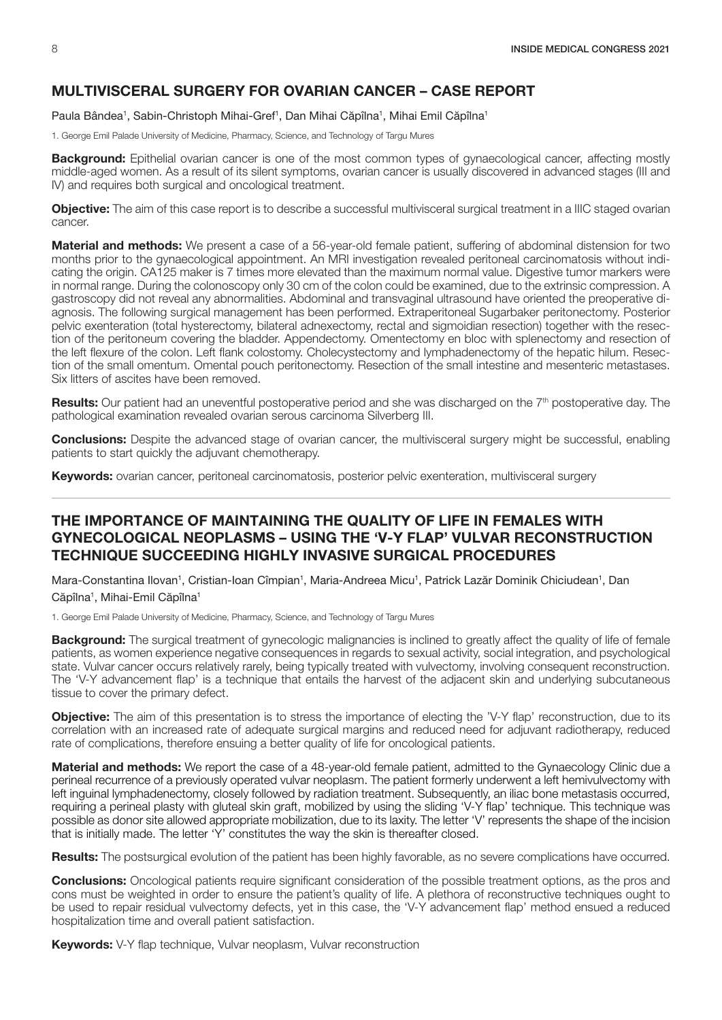# MULTIVISCERAL SURGERY FOR OVARIAN CANCER – CASE REPORT

Paula Bândea<sup>1</sup>, Sabin-Christoph Mihai-Gref<sup>1</sup>, Dan Mihai Căpîlna<sup>1</sup>, Mihai Emil Căpîlna<sup>1</sup>

1. George Emil Palade University of Medicine, Pharmacy, Science, and Technology of Targu Mures

**Background:** Epithelial ovarian cancer is one of the most common types of gynaecological cancer, affecting mostly middle-aged women. As a result of its silent symptoms, ovarian cancer is usually discovered in advanced stages (III and IV) and requires both surgical and oncological treatment.

Objective: The aim of this case report is to describe a successful multivisceral surgical treatment in a IIIC staged ovarian cancer.

Material and methods: We present a case of a 56-year-old female patient, suffering of abdominal distension for two months prior to the gynaecological appointment. An MRI investigation revealed peritoneal carcinomatosis without indicating the origin. CA125 maker is 7 times more elevated than the maximum normal value. Digestive tumor markers were in normal range. During the colonoscopy only 30 cm of the colon could be examined, due to the extrinsic compression. A gastroscopy did not reveal any abnormalities. Abdominal and transvaginal ultrasound have oriented the preoperative diagnosis. The following surgical management has been performed. Extraperitoneal Sugarbaker peritonectomy. Posterior pelvic exenteration (total hysterectomy, bilateral adnexectomy, rectal and sigmoidian resection) together with the resection of the peritoneum covering the bladder. Appendectomy. Omentectomy en bloc with splenectomy and resection of the left flexure of the colon. Left flank colostomy. Cholecystectomy and lymphadenectomy of the hepatic hilum. Resection of the small omentum. Omental pouch peritonectomy. Resection of the small intestine and mesenteric metastases. Six litters of ascites have been removed.

Results: Our patient had an uneventful postoperative period and she was discharged on the 7<sup>th</sup> postoperative day. The pathological examination revealed ovarian serous carcinoma Silverberg III.

**Conclusions:** Despite the advanced stage of ovarian cancer, the multivisceral surgery might be successful, enabling patients to start quickly the adjuvant chemotherapy.

**Keywords:** ovarian cancer, peritoneal carcinomatosis, posterior pelvic exenteration, multivisceral surgery

# THE IMPORTANCE OF MAINTAINING THE QUALITY OF LIFE IN FEMALES WITH GYNECOLOGICAL NEOPLASMS – USING THE 'V-Y FLAP' VULVAR RECONSTRUCTION TECHNIQUE SUCCEEDING HIGHLY INVASIVE SURGICAL PROCEDURES

Mara-Constantina Ilovan<sup>1</sup>, Cristian-Ioan Cîmpian<sup>1</sup>, Maria-Andreea Micu<sup>1</sup>, Patrick Lazăr Dominik Chiciudean<sup>1</sup>, Dan Căpîlna<sup>1</sup>, Mihai-Emil Căpîlna<sup>1</sup>

1. George Emil Palade University of Medicine, Pharmacy, Science, and Technology of Targu Mures

**Background:** The surgical treatment of gynecologic malignancies is inclined to greatly affect the quality of life of female patients, as women experience negative consequences in regards to sexual activity, social integration, and psychological state. Vulvar cancer occurs relatively rarely, being typically treated with vulvectomy, involving consequent reconstruction. The 'V-Y advancement flap' is a technique that entails the harvest of the adjacent skin and underlying subcutaneous tissue to cover the primary defect.

**Objective:** The aim of this presentation is to stress the importance of electing the 'V-Y flap' reconstruction, due to its correlation with an increased rate of adequate surgical margins and reduced need for adjuvant radiotherapy, reduced rate of complications, therefore ensuing a better quality of life for oncological patients.

Material and methods: We report the case of a 48-year-old female patient, admitted to the Gynaecology Clinic due a perineal recurrence of a previously operated vulvar neoplasm. The patient formerly underwent a left hemivulvectomy with left inguinal lymphadenectomy, closely followed by radiation treatment. Subsequently, an iliac bone metastasis occurred, requiring a perineal plasty with gluteal skin graft, mobilized by using the sliding 'V-Y flap' technique. This technique was possible as donor site allowed appropriate mobilization, due to its laxity. The letter 'V' represents the shape of the incision that is initially made. The letter 'Y' constitutes the way the skin is thereafter closed.

Results: The postsurgical evolution of the patient has been highly favorable, as no severe complications have occurred.

**Conclusions:** Oncological patients require significant consideration of the possible treatment options, as the pros and cons must be weighted in order to ensure the patient's quality of life. A plethora of reconstructive techniques ought to be used to repair residual vulvectomy defects, yet in this case, the 'V-Y advancement flap' method ensued a reduced hospitalization time and overall patient satisfaction.

Keywords: V-Y flap technique, Vulvar neoplasm, Vulvar reconstruction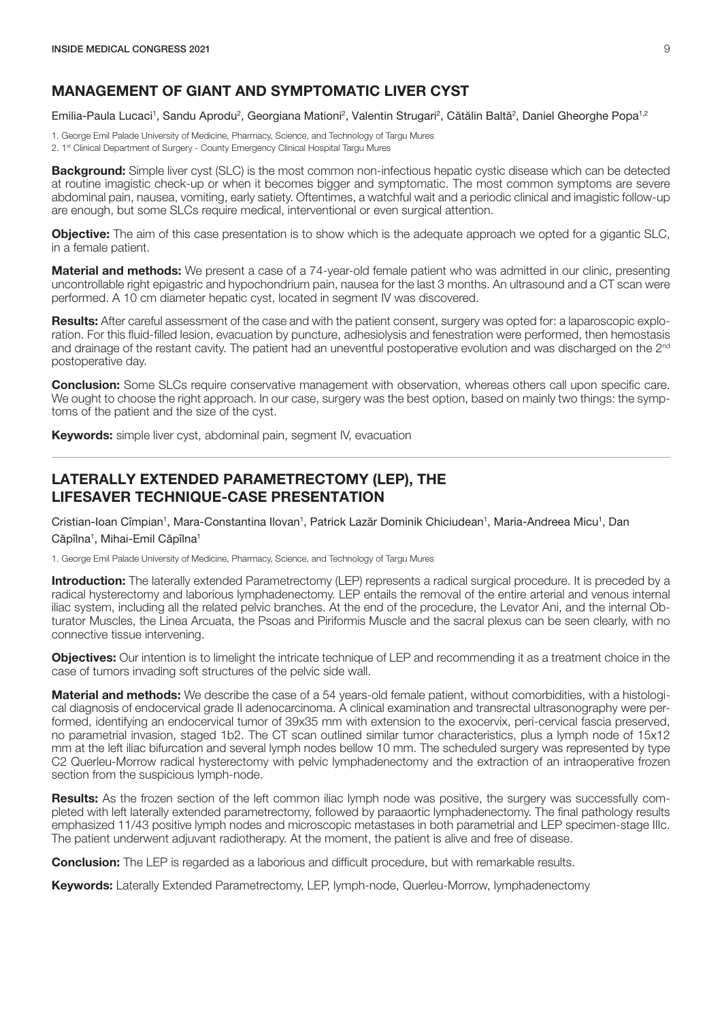## MANAGEMENT OF GIANT AND SYMPTOMATIC LIVER CYST

Emilia-Paula Lucaci<sup>1</sup>, Sandu Aprodu<sup>2</sup>, Georgiana Mationi<sup>2</sup>, Valentin Strugari<sup>2</sup>, Cătălin Baltă<sup>2</sup>, Daniel Gheorghe Popa<sup>1,2</sup>

1. George Emil Palade University of Medicine, Pharmacy, Science, and Technology of Targu Mures 2. 1st Clinical Department of Surgery - County Emergency Clinical Hospital Targu Mures

**Background:** Simple liver cyst (SLC) is the most common non-infectious hepatic cystic disease which can be detected at routine imagistic check-up or when it becomes bigger and symptomatic. The most common symptoms are severe abdominal pain, nausea, vomiting, early satiety. Oftentimes, a watchful wait and a periodic clinical and imagistic follow-up are enough, but some SLCs require medical, interventional or even surgical attention.

**Objective:** The aim of this case presentation is to show which is the adequate approach we opted for a gigantic SLC, in a female patient.

Material and methods: We present a case of a 74-year-old female patient who was admitted in our clinic, presenting uncontrollable right epigastric and hypochondrium pain, nausea for the last 3 months. An ultrasound and a CT scan were performed. A 10 cm diameter hepatic cyst, located in segment IV was discovered.

Results: After careful assessment of the case and with the patient consent, surgery was opted for: a laparoscopic exploration. For this fluid-filled lesion, evacuation by puncture, adhesiolysis and fenestration were performed, then hemostasis and drainage of the restant cavity. The patient had an uneventful postoperative evolution and was discharged on the 2<sup>nd</sup> postoperative day.

**Conclusion:** Some SLCs require conservative management with observation, whereas others call upon specific care. We ought to choose the right approach. In our case, surgery was the best option, based on mainly two things: the symptoms of the patient and the size of the cyst.

Keywords: simple liver cyst, abdominal pain, segment IV, evacuation

# LATERALLY EXTENDED PARAMETRECTOMY (LEP), THE LIFESAVER TECHNIQUE-CASE PRESENTATION

Cristian-Ioan Cîmpian<sup>1</sup>, Mara-Constantina Ilovan<sup>1</sup>, Patrick Lazăr Dominik Chiciudean<sup>1</sup>, Maria-Andreea Micu<sup>1</sup>, Dan Căpîlna<sup>1</sup>, Mihai-Emil Căpîlna<sup>1</sup>

1. George Emil Palade University of Medicine, Pharmacy, Science, and Technology of Targu Mures

Introduction: The laterally extended Parametrectomy (LEP) represents a radical surgical procedure. It is preceded by a radical hysterectomy and laborious lymphadenectomy. LEP entails the removal of the entire arterial and venous internal iliac system, including all the related pelvic branches. At the end of the procedure, the Levator Ani, and the internal Obturator Muscles, the Linea Arcuata, the Psoas and Piriformis Muscle and the sacral plexus can be seen clearly, with no connective tissue intervening.

**Objectives:** Our intention is to limelight the intricate technique of LEP and recommending it as a treatment choice in the case of tumors invading soft structures of the pelvic side wall.

Material and methods: We describe the case of a 54 years-old female patient, without comorbidities, with a histological diagnosis of endocervical grade II adenocarcinoma. A clinical examination and transrectal ultrasonography were performed, identifying an endocervical tumor of 39x35 mm with extension to the exocervix, peri-cervical fascia preserved, no parametrial invasion, staged 1b2. The CT scan outlined similar tumor characteristics, plus a lymph node of 15x12 mm at the left iliac bifurcation and several lymph nodes bellow 10 mm. The scheduled surgery was represented by type C2 Querleu-Morrow radical hysterectomy with pelvic lymphadenectomy and the extraction of an intraoperative frozen section from the suspicious lymph-node.

**Results:** As the frozen section of the left common iliac lymph node was positive, the surgery was successfully completed with left laterally extended parametrectomy, followed by paraaortic lymphadenectomy. The final pathology results emphasized 11/43 positive lymph nodes and microscopic metastases in both parametrial and LEP specimen-stage IIIc. The patient underwent adjuvant radiotherapy. At the moment, the patient is alive and free of disease.

**Conclusion:** The LEP is regarded as a laborious and difficult procedure, but with remarkable results.

**Keywords:** Laterally Extended Parametrectomy, LEP, lymph-node, Querleu-Morrow, lymphadenectomy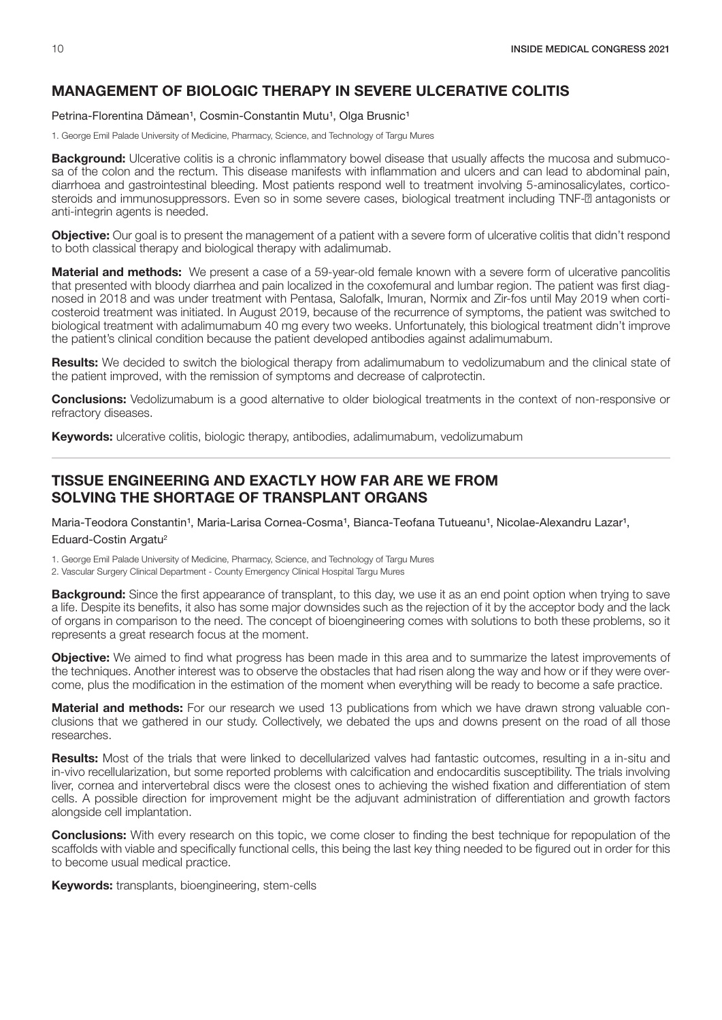# <span id="page-11-0"></span>MANAGEMENT OF BIOLOGIC THERAPY IN SEVERE ULCERATIVE COLITIS

Petrina-Florentina Dămean<sup>1</sup>, Cosmin-Constantin Mutu<sup>1</sup>, Olga Brusnic<sup>1</sup>

1. George Emil Palade University of Medicine, Pharmacy, Science, and Technology of Targu Mures

**Background:** Ulcerative colitis is a chronic inflammatory bowel disease that usually affects the mucosa and submucosa of the colon and the rectum. This disease manifests with inflammation and ulcers and can lead to abdominal pain, diarrhoea and gastrointestinal bleeding. Most patients respond well to treatment involving 5-aminosalicylates, corticosteroids and immunosuppressors. Even so in some severe cases, biological treatment including TNF- antagonists or anti-integrin agents is needed.

Objective: Our goal is to present the management of a patient with a severe form of ulcerative colitis that didn't respond to both classical therapy and biological therapy with adalimumab.

Material and methods: We present a case of a 59-year-old female known with a severe form of ulcerative pancolitis that presented with bloody diarrhea and pain localized in the coxofemural and lumbar region. The patient was first diagnosed in 2018 and was under treatment with Pentasa, Salofalk, Imuran, Normix and Zir-fos until May 2019 when corticosteroid treatment was initiated. In August 2019, because of the recurrence of symptoms, the patient was switched to biological treatment with adalimumabum 40 mg every two weeks. Unfortunately, this biological treatment didn't improve the patient's clinical condition because the patient developed antibodies against adalimumabum.

Results: We decided to switch the biological therapy from adalimumabum to vedolizumabum and the clinical state of the patient improved, with the remission of symptoms and decrease of calprotectin.

**Conclusions:** Vedolizumabum is a good alternative to older biological treatments in the context of non-responsive or refractory diseases.

Keywords: ulcerative colitis, biologic therapy, antibodies, adalimumabum, vedolizumabum

# TISSUE ENGINEERING AND EXACTLY HOW FAR ARE WE FROM SOLVING THE SHORTAGE OF TRANSPLANT ORGANS

Maria-Teodora Constantin<sup>1</sup>, Maria-Larisa Cornea-Cosma<sup>1</sup>, Bianca-Teofana Tutueanu<sup>1</sup>, Nicolae-Alexandru Lazar<sup>1</sup>, Eduard-Costin Argatu<sup>2</sup>

1. George Emil Palade University of Medicine, Pharmacy, Science, and Technology of Targu Mures

2. Vascular Surgery Clinical Department - County Emergency Clinical Hospital Targu Mures

**Background:** Since the first appearance of transplant, to this day, we use it as an end point option when trying to save a life. Despite its benefits, it also has some major downsides such as the rejection of it by the acceptor body and the lack of organs in comparison to the need. The concept of bioengineering comes with solutions to both these problems, so it represents a great research focus at the moment.

**Objective:** We aimed to find what progress has been made in this area and to summarize the latest improvements of the techniques. Another interest was to observe the obstacles that had risen along the way and how or if they were overcome, plus the modification in the estimation of the moment when everything will be ready to become a safe practice.

Material and methods: For our research we used 13 publications from which we have drawn strong valuable conclusions that we gathered in our study. Collectively, we debated the ups and downs present on the road of all those researches.

Results: Most of the trials that were linked to decellularized valves had fantastic outcomes, resulting in a in-situ and in-vivo recellularization, but some reported problems with calcification and endocarditis susceptibility. The trials involving liver, cornea and intervertebral discs were the closest ones to achieving the wished fixation and differentiation of stem cells. A possible direction for improvement might be the adjuvant administration of differentiation and growth factors alongside cell implantation.

**Conclusions:** With every research on this topic, we come closer to finding the best technique for repopulation of the scaffolds with viable and specifically functional cells, this being the last key thing needed to be figured out in order for this to become usual medical practice.

Keywords: transplants, bioengineering, stem-cells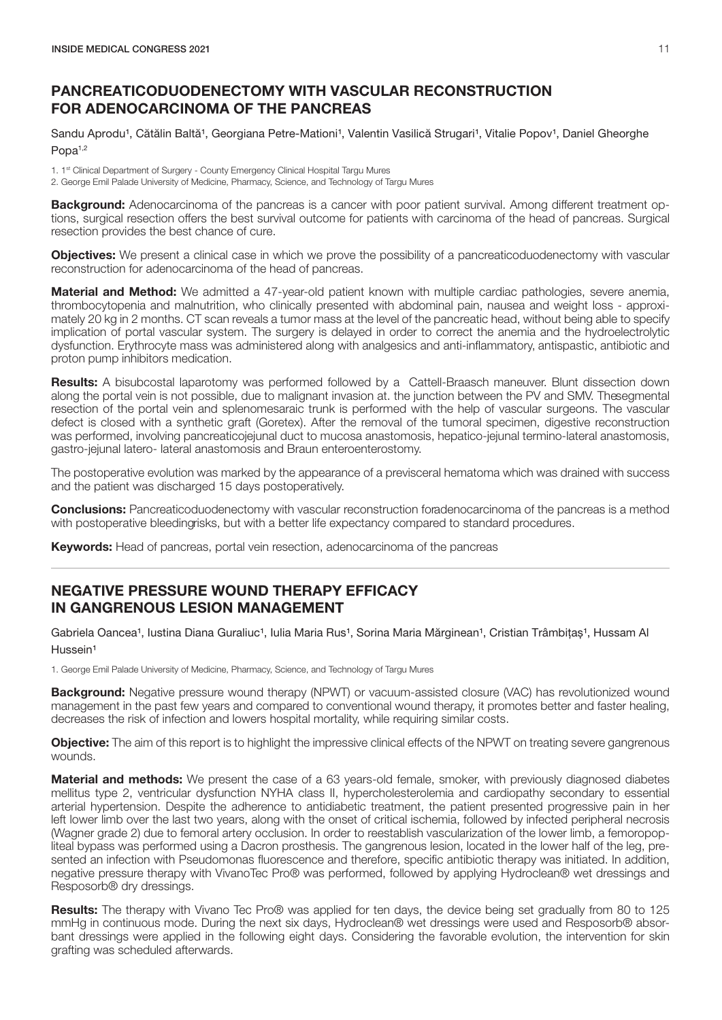# <span id="page-12-0"></span>PANCREATICODUODENECTOMY WITH VASCULAR RECONSTRUCTION FOR ADENOCARCINOMA OF THE PANCREAS

Sandu Aprodu<sup>1</sup>, Cătălin Baltă<sup>1</sup>, Georgiana Petre-Mationi<sup>1</sup>, Valentin Vasilică Strugari<sup>1</sup>, Vitalie Popov<sup>1</sup>, Daniel Gheorghe Popa<sup>1,2</sup>

1. 1<sup>st</sup> Clinical Department of Surgery - County Emergency Clinical Hospital Targu Mures

2. George Emil Palade University of Medicine, Pharmacy, Science, and Technology of Targu Mures

**Background:** Adenocarcinoma of the pancreas is a cancer with poor patient survival. Among different treatment options, surgical resection offers the best survival outcome for patients with carcinoma of the head of pancreas. Surgical resection provides the best chance of cure.

**Objectives:** We present a clinical case in which we prove the possibility of a pancreaticoduodenectomy with vascular reconstruction for adenocarcinoma of the head of pancreas.

**Material and Method:** We admitted a 47-year-old patient known with multiple cardiac pathologies, severe anemia, thrombocytopenia and malnutrition, who clinically presented with abdominal pain, nausea and weight loss - approximately 20 kg in 2 months. CT scan reveals a tumor mass at the level of the pancreatic head, without being able to specify implication of portal vascular system. The surgery is delayed in order to correct the anemia and the hydroelectrolytic dysfunction. Erythrocyte mass was administered along with analgesics and anti-inflammatory, antispastic, antibiotic and proton pump inhibitors medication.

Results: A bisubcostal laparotomy was performed followed by a Cattell-Braasch maneuver. Blunt dissection down along the portal vein is not possible, due to malignant invasion at. the junction between the PV and SMV. Thesegmental resection of the portal vein and splenomesaraic trunk is performed with the help of vascular surgeons. The vascular defect is closed with a synthetic graft (Goretex). After the removal of the tumoral specimen, digestive reconstruction was performed, involving pancreaticojejunal duct to mucosa anastomosis, hepatico-jejunal termino-lateral anastomosis, gastro-jejunal latero- lateral anastomosis and Braun enteroenterostomy.

The postoperative evolution was marked by the appearance of a previsceral hematoma which was drained with success and the patient was discharged 15 days postoperatively.

**Conclusions:** Pancreaticoduodenectomy with vascular reconstruction for adenocarcinoma of the pancreas is a method with postoperative bleeding risks, but with a better life expectancy compared to standard procedures.

**Keywords:** Head of pancreas, portal vein resection, adenocarcinoma of the pancreas

#### NEGATIVE PRESSURE WOUND THERAPY EFFICACY IN GANGRENOUS LESION MANAGEMENT

Gabriela Oancea<sup>1</sup>, Iustina Diana Guraliuc<sup>1</sup>, Iulia Maria Rus<sup>1</sup>, Sorina Maria Mărginean<sup>1</sup>, Cristian Trâmbitaș<sup>1</sup>, Hussam Al Hussein<sup>1</sup>

1. George Emil Palade University of Medicine, Pharmacy, Science, and Technology of Targu Mures

**Background:** Negative pressure wound therapy (NPWT) or vacuum-assisted closure (VAC) has revolutionized wound management in the past few years and compared to conventional wound therapy, it promotes better and faster healing, decreases the risk of infection and lowers hospital mortality, while requiring similar costs.

**Objective:** The aim of this report is to highlight the impressive clinical effects of the NPWT on treating severe gangrenous wounds.

**Material and methods:** We present the case of a 63 years-old female, smoker, with previously diagnosed diabetes mellitus type 2, ventricular dysfunction NYHA class II, hypercholesterolemia and cardiopathy secondary to essential arterial hypertension. Despite the adherence to antidiabetic treatment, the patient presented progressive pain in her left lower limb over the last two years, along with the onset of critical ischemia, followed by infected peripheral necrosis (Wagner grade 2) due to femoral artery occlusion. In order to reestablish vascularization of the lower limb, a femoropopliteal bypass was performed using a Dacron prosthesis. The gangrenous lesion, located in the lower half of the leg, presented an infection with Pseudomonas fluorescence and therefore, specific antibiotic therapy was initiated. In addition, negative pressure therapy with VivanoTec Pro® was performed, followed by applying Hydroclean® wet dressings and Resposorb® dry dressings.

Results: The therapy with Vivano Tec Pro® was applied for ten days, the device being set gradually from 80 to 125 mmHg in continuous mode. During the next six days, Hydroclean® wet dressings were used and Resposorb® absorbant dressings were applied in the following eight days. Considering the favorable evolution, the intervention for skin grafting was scheduled afterwards.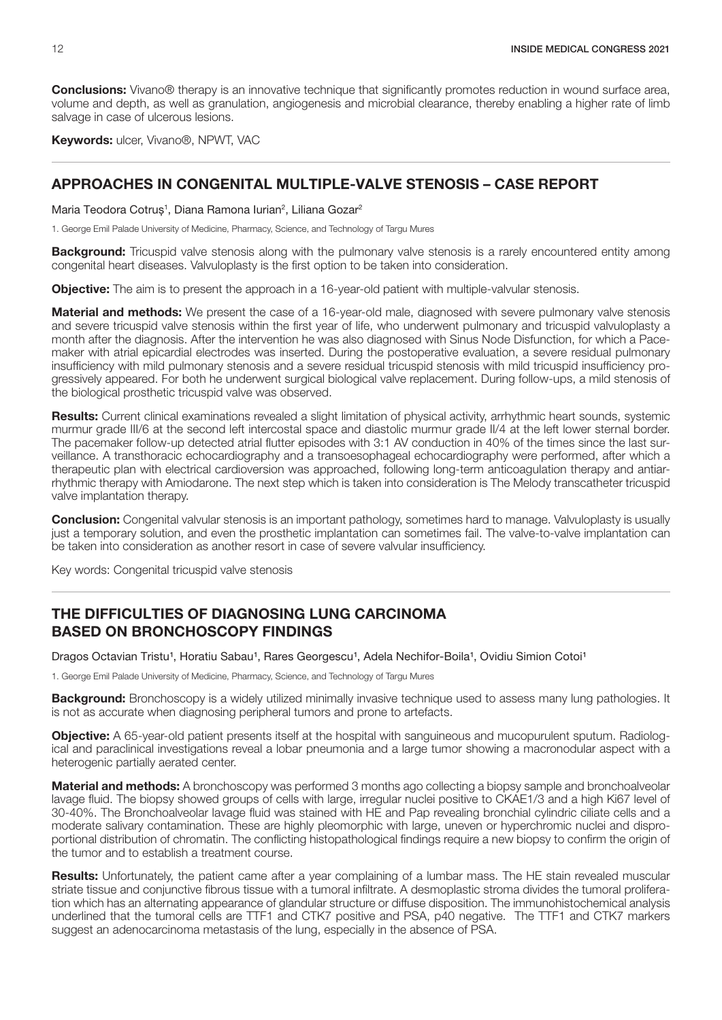<span id="page-13-0"></span>**Conclusions:** Vivano® therapy is an innovative technique that significantly promotes reduction in wound surface area, volume and depth, as well as granulation, angiogenesis and microbial clearance, thereby enabling a higher rate of limb salvage in case of ulcerous lesions.

Keywords: ulcer, Vivano®, NPWT, VAC

#### APPROACHES IN CONGENITAL MULTIPLE-VALVE STENOSIS – CASE REPORT

Maria Teodora Cotruș<sup>1</sup>, Diana Ramona Iurian<sup>2</sup>, Liliana Gozar<sup>2</sup>

1. George Emil Palade University of Medicine, Pharmacy, Science, and Technology of Targu Mures

**Background:** Tricuspid valve stenosis along with the pulmonary valve stenosis is a rarely encountered entity among congenital heart diseases. Valvuloplasty is the first option to be taken into consideration.

**Objective:** The aim is to present the approach in a 16-year-old patient with multiple-valvular stenosis.

**Material and methods:** We present the case of a 16-year-old male, diagnosed with severe pulmonary valve stenosis and severe tricuspid valve stenosis within the first year of life, who underwent pulmonary and tricuspid valvuloplasty a month after the diagnosis. After the intervention he was also diagnosed with Sinus Node Disfunction, for which a Pacemaker with atrial epicardial electrodes was inserted. During the postoperative evaluation, a severe residual pulmonary insufficiency with mild pulmonary stenosis and a severe residual tricuspid stenosis with mild tricuspid insufficiency progressively appeared. For both he underwent surgical biological valve replacement. During follow-ups, a mild stenosis of the biological prosthetic tricuspid valve was observed.

Results: Current clinical examinations revealed a slight limitation of physical activity, arrhythmic heart sounds, systemic murmur grade III/6 at the second left intercostal space and diastolic murmur grade II/4 at the left lower sternal border. The pacemaker follow-up detected atrial flutter episodes with 3:1 AV conduction in 40% of the times since the last surveillance. A transthoracic echocardiography and a transoesophageal echocardiography were performed, after which a therapeutic plan with electrical cardioversion was approached, following long-term anticoagulation therapy and antiarrhythmic therapy with Amiodarone. The next step which is taken into consideration is The Melody transcatheter tricuspid valve implantation therapy.

**Conclusion:** Congenital valvular stenosis is an important pathology, sometimes hard to manage. Valvuloplasty is usually just a temporary solution, and even the prosthetic implantation can sometimes fail. The valve-to-valve implantation can be taken into consideration as another resort in case of severe valvular insufficiency.

Key words: Congenital tricuspid valve stenosis

#### THE DIFFICULTIES OF DIAGNOSING LUNG CARCINOMA BASED ON BRONCHOSCOPY FINDINGS

Dragos Octavian Tristu<sup>1</sup>, Horatiu Sabau<sup>1</sup>, Rares Georgescu<sup>1</sup>, Adela Nechifor-Boila<sup>1</sup>, Ovidiu Simion Cotoi<sup>1</sup>

1. George Emil Palade University of Medicine, Pharmacy, Science, and Technology of Targu Mures

**Background:** Bronchoscopy is a widely utilized minimally invasive technique used to assess many lung pathologies. It is not as accurate when diagnosing peripheral tumors and prone to artefacts.

Objective: A 65-year-old patient presents itself at the hospital with sanguineous and mucopurulent sputum. Radiological and paraclinical investigations reveal a lobar pneumonia and a large tumor showing a macronodular aspect with a heterogenic partially aerated center.

**Material and methods:** A bronchoscopy was performed 3 months ago collecting a biopsy sample and bronchoalveolar lavage fluid. The biopsy showed groups of cells with large, irregular nuclei positive to CKAE1/3 and a high Ki67 level of 30-40%. The Bronchoalveolar lavage fluid was stained with HE and Pap revealing bronchial cylindric ciliate cells and a moderate salivary contamination. These are highly pleomorphic with large, uneven or hyperchromic nuclei and disproportional distribution of chromatin. The conflicting histopathological findings require a new biopsy to confirm the origin of the tumor and to establish a treatment course.

Results: Unfortunately, the patient came after a year complaining of a lumbar mass. The HE stain revealed muscular striate tissue and conjunctive fibrous tissue with a tumoral infiltrate. A desmoplastic stroma divides the tumoral proliferation which has an alternating appearance of glandular structure or diffuse disposition. The immunohistochemical analysis underlined that the tumoral cells are TTF1 and CTK7 positive and PSA, p40 negative. The TTF1 and CTK7 markers suggest an adenocarcinoma metastasis of the lung, especially in the absence of PSA.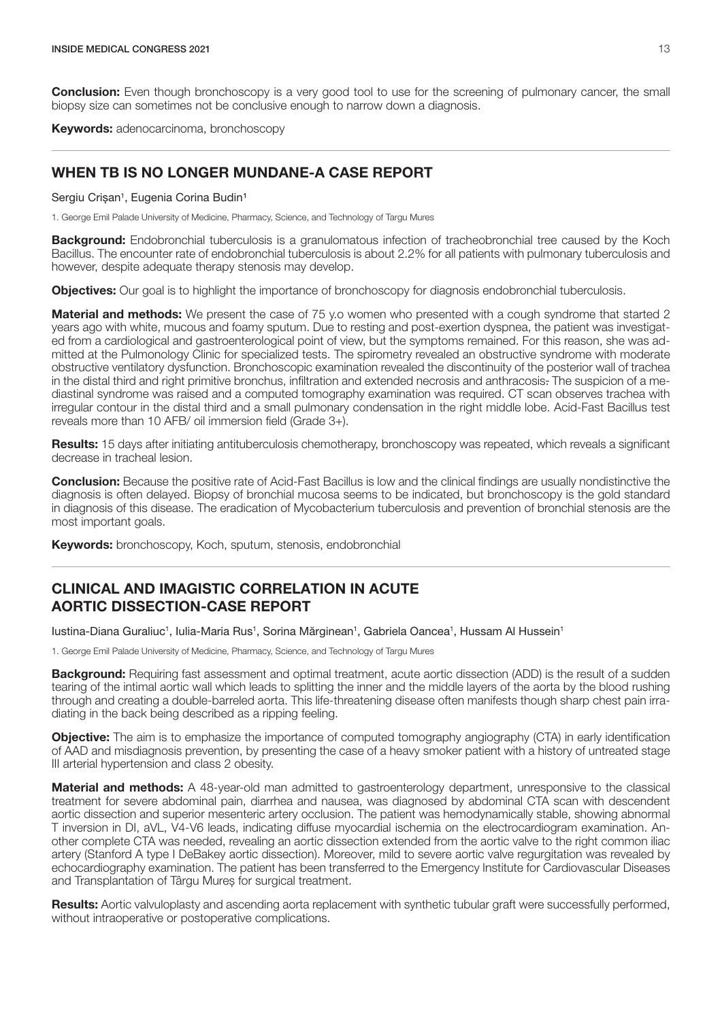<span id="page-14-0"></span>**Conclusion:** Even though bronchoscopy is a very good tool to use for the screening of pulmonary cancer, the small biopsy size can sometimes not be conclusive enough to narrow down a diagnosis.

Keywords: adenocarcinoma, bronchoscopy

#### WHEN TB IS NO LONGER MUNDANE-A CASE REPORT

Sergiu Crișan<sup>1</sup>, Eugenia Corina Budin<sup>1</sup>

1. George Emil Palade University of Medicine, Pharmacy, Science, and Technology of Targu Mures

Background: Endobronchial tuberculosis is a granulomatous infection of tracheobronchial tree caused by the Koch Bacillus. The encounter rate of endobronchial tuberculosis is about 2.2% for all patients with pulmonary tuberculosis and however, despite adequate therapy stenosis may develop.

**Objectives:** Our goal is to highlight the importance of bronchoscopy for diagnosis endobronchial tuberculosis.

**Material and methods:** We present the case of 75 y.o women who presented with a cough syndrome that started 2 years ago with white, mucous and foamy sputum. Due to resting and post-exertion dyspnea, the patient was investigated from a cardiological and gastroenterological point of view, but the symptoms remained. For this reason, she was admitted at the Pulmonology Clinic for specialized tests. The spirometry revealed an obstructive syndrome with moderate obstructive ventilatory dysfunction. Bronchoscopic examination revealed the discontinuity of the posterior wall of trachea in the distal third and right primitive bronchus, infiltration and extended necrosis and anthracosis. The suspicion of a mediastinal syndrome was raised and a computed tomography examination was required. CT scan observes trachea with irregular contour in the distal third and a small pulmonary condensation in the right middle lobe. Acid-Fast Bacillus test reveals more than 10 AFB/ oil immersion field (Grade 3+).

Results: 15 days after initiating antituberculosis chemotherapy, bronchoscopy was repeated, which reveals a significant decrease in tracheal lesion.

**Conclusion:** Because the positive rate of Acid-Fast Bacillus is low and the clinical findings are usually nondistinctive the diagnosis is often delayed. Biopsy of bronchial mucosa seems to be indicated, but bronchoscopy is the gold standard in diagnosis of this disease. The eradication of Mycobacterium tuberculosis and prevention of bronchial stenosis are the most important goals.

Keywords: bronchoscopy, Koch, sputum, stenosis, endobronchial

#### CLINICAL AND IMAGISTIC CORRELATION IN ACUTE AORTIC DISSECTION-CASE REPORT

lustina-Diana Guraliuc<sup>1</sup>, Iulia-Maria Rus<sup>1</sup>, Sorina Mărginean<sup>1</sup>, Gabriela Oancea<sup>1</sup>, Hussam Al Hussein<sup>1</sup>

1. George Emil Palade University of Medicine, Pharmacy, Science, and Technology of Targu Mures

**Background:** Requiring fast assessment and optimal treatment, acute aortic dissection (ADD) is the result of a sudden tearing of the intimal aortic wall which leads to splitting the inner and the middle layers of the aorta by the blood rushing through and creating a double-barreled aorta. This life-threatening disease often manifests though sharp chest pain irradiating in the back being described as a ripping feeling.

**Objective:** The aim is to emphasize the importance of computed tomography angiography (CTA) in early identification of AAD and misdiagnosis prevention, by presenting the case of a heavy smoker patient with a history of untreated stage III arterial hypertension and class 2 obesity.

**Material and methods:** A 48-year-old man admitted to gastroenterology department, unresponsive to the classical treatment for severe abdominal pain, diarrhea and nausea, was diagnosed by abdominal CTA scan with descendent aortic dissection and superior mesenteric artery occlusion. The patient was hemodynamically stable, showing abnormal T inversion in DI, aVL, V4-V6 leads, indicating diffuse myocardial ischemia on the electrocardiogram examination. Another complete CTA was needed, revealing an aortic dissection extended from the aortic valve to the right common iliac artery (Stanford A type I DeBakey aortic dissection). Moreover, mild to severe aortic valve regurgitation was revealed by echocardiography examination. The patient has been transferred to the Emergency Institute for Cardiovascular Diseases and Transplantation of Târgu Mureș for surgical treatment.

Results: Aortic valvuloplasty and ascending aorta replacement with synthetic tubular graft were successfully performed, without intraoperative or postoperative complications.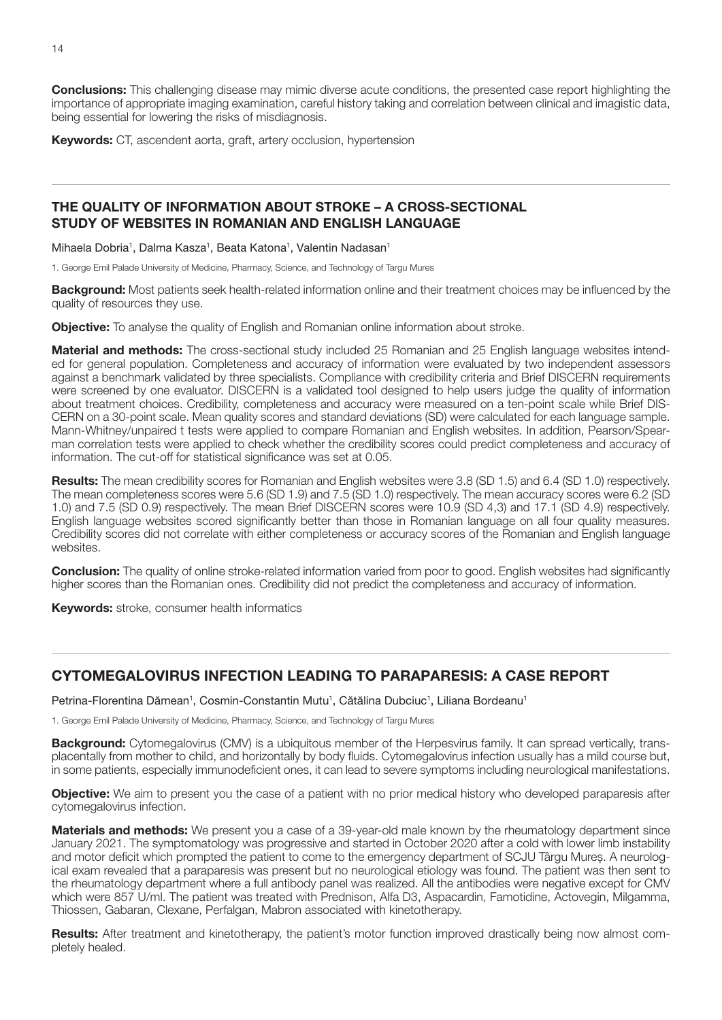<span id="page-15-0"></span>**Conclusions:** This challenging disease may mimic diverse acute conditions, the presented case report highlighting the importance of appropriate imaging examination, careful history taking and correlation between clinical and imagistic data, being essential for lowering the risks of misdiagnosis.

Keywords: CT, ascendent aorta, graft, artery occlusion, hypertension

#### THE QUALITY OF INFORMATION ABOUT STROKE – A CROSS-SECTIONAL STUDY OF WEBSITES IN ROMANIAN AND ENGLISH LANGUAGE

Mihaela Dobria<sup>1</sup>, Dalma Kasza<sup>1</sup>, Beata Katona<sup>1</sup>, Valentin Nadasan<sup>1</sup>

1. George Emil Palade University of Medicine, Pharmacy, Science, and Technology of Targu Mures

**Background:** Most patients seek health-related information online and their treatment choices may be influenced by the quality of resources they use.

**Objective:** To analyse the quality of English and Romanian online information about stroke.

Material and methods: The cross-sectional study included 25 Romanian and 25 English language websites intended for general population. Completeness and accuracy of information were evaluated by two independent assessors against a benchmark validated by three specialists. Compliance with credibility criteria and Brief DISCERN requirements were screened by one evaluator. DISCERN is a validated tool designed to help users judge the quality of information about treatment choices. Credibility, completeness and accuracy were measured on a ten-point scale while Brief DIS-CERN on a 30-point scale. Mean quality scores and standard deviations (SD) were calculated for each language sample. Mann-Whitney/unpaired t tests were applied to compare Romanian and English websites. In addition, Pearson/Spearman correlation tests were applied to check whether the credibility scores could predict completeness and accuracy of information. The cut-off for statistical significance was set at 0.05.

Results: The mean credibility scores for Romanian and English websites were 3.8 (SD 1.5) and 6.4 (SD 1.0) respectively. The mean completeness scores were 5.6 (SD 1.9) and 7.5 (SD 1.0) respectively. The mean accuracy scores were 6.2 (SD 1.0) and 7.5 (SD 0.9) respectively. The mean Brief DISCERN scores were 10.9 (SD 4,3) and 17.1 (SD 4.9) respectively. English language websites scored significantly better than those in Romanian language on all four quality measures. Credibility scores did not correlate with either completeness or accuracy scores of the Romanian and English language websites.

**Conclusion:** The quality of online stroke-related information varied from poor to good. English websites had significantly higher scores than the Romanian ones. Credibility did not predict the completeness and accuracy of information.

**Keywords:** stroke, consumer health informatics

#### CYTOMEGALOVIRUS INFECTION LEADING TO PARAPARESIS: A CASE REPORT

Petrina-Florentina Dămean<sup>1</sup>, Cosmin-Constantin Mutu<sup>1</sup>, Cătălina Dubciuc<sup>1</sup>, Liliana Bordeanu<sup>1</sup>

1. George Emil Palade University of Medicine, Pharmacy, Science, and Technology of Targu Mures

**Background:** Cytomegalovirus (CMV) is a ubiquitous member of the Herpesvirus family. It can spread vertically, transplacentally from mother to child, and horizontally by body fluids. Cytomegalovirus infection usually has a mild course but, in some patients, especially immunodeficient ones, it can lead to severe symptoms including neurological manifestations.

Objective: We aim to present you the case of a patient with no prior medical history who developed paraparesis after cytomegalovirus infection.

Materials and methods: We present you a case of a 39-year-old male known by the rheumatology department since January 2021. The symptomatology was progressive and started in October 2020 after a cold with lower limb instability and motor deficit which prompted the patient to come to the emergency department of SCJU Târgu Mureș. A neurological exam revealed that a paraparesis was present but no neurological etiology was found. The patient was then sent to the rheumatology department where a full antibody panel was realized. All the antibodies were negative except for CMV which were 857 U/ml. The patient was treated with Prednison, Alfa D3, Aspacardin, Famotidine, Actovegin, Milgamma, Thiossen, Gabaran, Clexane, Perfalgan, Mabron associated with kinetotherapy.

Results: After treatment and kinetotherapy, the patient's motor function improved drastically being now almost completely healed.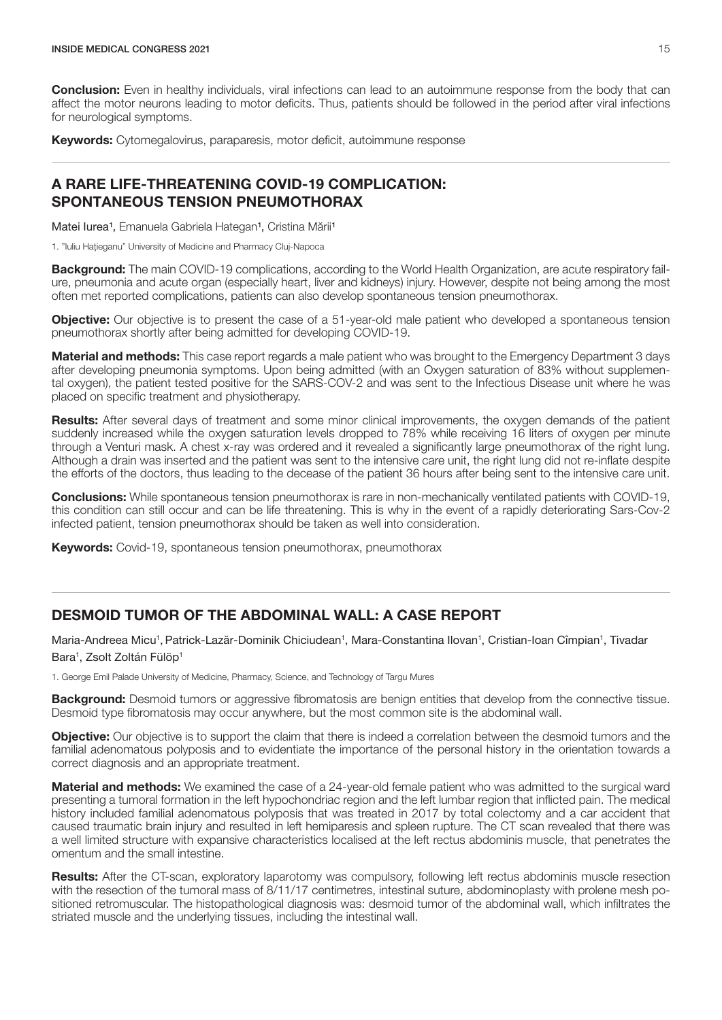<span id="page-16-0"></span>**Conclusion:** Even in healthy individuals, viral infections can lead to an autoimmune response from the body that can affect the motor neurons leading to motor deficits. Thus, patients should be followed in the period after viral infections for neurological symptoms.

Keywords: Cytomegalovirus, paraparesis, motor deficit, autoimmune response

#### A RARE LIFE-THREATENING COVID-19 COMPLICATION: SPONTANEOUS TENSION PNEUMOTHORAX

Matei Iurea<sup>1</sup>, Emanuela Gabriela Hategan<sup>1</sup>, Cristina Mării<sup>1</sup>

1. "Iuliu Hațieganu" University of Medicine and Pharmacy Cluj-Napoca

**Background:** The main COVID-19 complications, according to the World Health Organization, are acute respiratory failure, pneumonia and acute organ (especially heart, liver and kidneys) injury. However, despite not being among the most often met reported complications, patients can also develop spontaneous tension pneumothorax.

**Objective:** Our objective is to present the case of a 51-year-old male patient who developed a spontaneous tension pneumothorax shortly after being admitted for developing COVID-19.

**Material and methods:** This case report regards a male patient who was brought to the Emergency Department 3 days after developing pneumonia symptoms. Upon being admitted (with an Oxygen saturation of 83% without supplemental oxygen), the patient tested positive for the SARS-COV-2 and was sent to the Infectious Disease unit where he was placed on specific treatment and physiotherapy.

**Results:** After several days of treatment and some minor clinical improvements, the oxygen demands of the patient suddenly increased while the oxygen saturation levels dropped to 78% while receiving 16 liters of oxygen per minute through a Venturi mask. A chest x-ray was ordered and it revealed a significantly large pneumothorax of the right lung. Although a drain was inserted and the patient was sent to the intensive care unit, the right lung did not re-inflate despite the efforts of the doctors, thus leading to the decease of the patient 36 hours after being sent to the intensive care unit.

Conclusions: While spontaneous tension pneumothorax is rare in non-mechanically ventilated patients with COVID-19, this condition can still occur and can be life threatening. This is why in the event of a rapidly deteriorating Sars-Cov-2 infected patient, tension pneumothorax should be taken as well into consideration.

Keywords: Covid-19, spontaneous tension pneumothorax, pneumothorax

## DESMOID TUMOR OF THE ABDOMINAL WALL: A CASE REPORT

Maria-Andreea Micu<sup>1</sup>, Patrick-Lazăr-Dominik Chiciudean<sup>1</sup>, Mara-Constantina Ilovan<sup>1</sup>, Cristian-Ioan Cîmpian<sup>1</sup>, Tivadar Bara<sup>1</sup>, Zsolt Zoltán Fülöp<sup>1</sup>

1. George Emil Palade University of Medicine, Pharmacy, Science, and Technology of Targu Mures

**Background:** Desmoid tumors or aggressive fibromatosis are benign entities that develop from the connective tissue. Desmoid type fibromatosis may occur anywhere, but the most common site is the abdominal wall.

**Objective:** Our objective is to support the claim that there is indeed a correlation between the desmoid tumors and the familial adenomatous polyposis and to evidentiate the importance of the personal history in the orientation towards a correct diagnosis and an appropriate treatment.

Material and methods: We examined the case of a 24-year-old female patient who was admitted to the surgical ward presenting a tumoral formation in the left hypochondriac region and the left lumbar region that inflicted pain. The medical history included familial adenomatous polyposis that was treated in 2017 by total colectomy and a car accident that caused traumatic brain injury and resulted in left hemiparesis and spleen rupture. The CT scan revealed that there was a well limited structure with expansive characteristics localised at the left rectus abdominis muscle, that penetrates the omentum and the small intestine.

Results: After the CT-scan, exploratory laparotomy was compulsory, following left rectus abdominis muscle resection with the resection of the tumoral mass of 8/11/17 centimetres, intestinal suture, abdominoplasty with prolene mesh positioned retromuscular. The histopathological diagnosis was: desmoid tumor of the abdominal wall, which infiltrates the striated muscle and the underlying tissues, including the intestinal wall.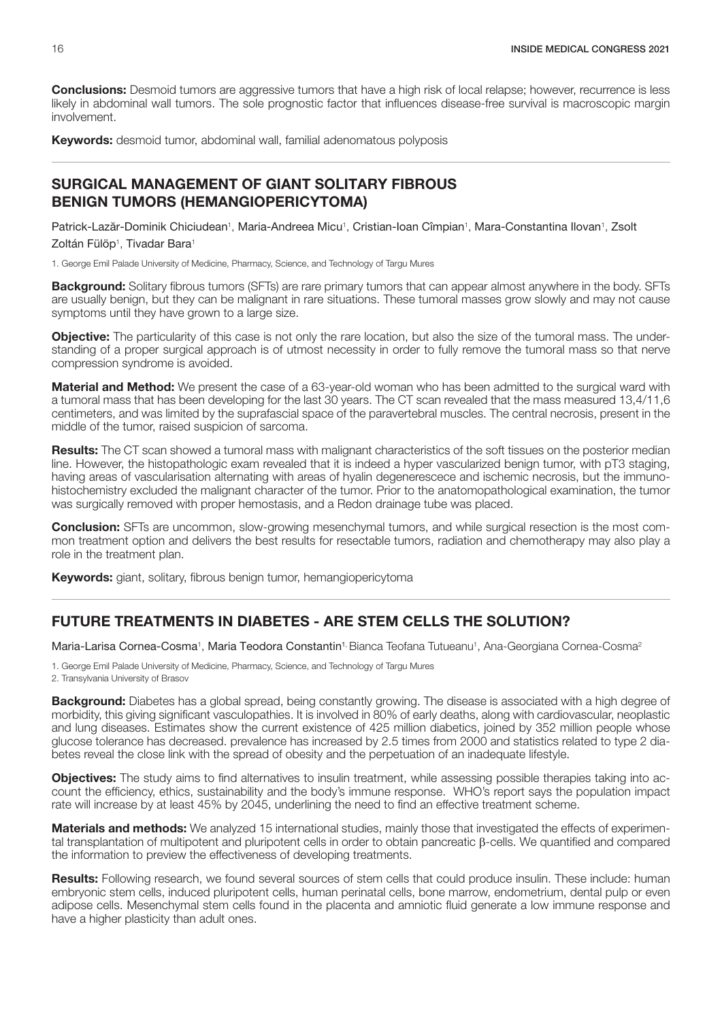<span id="page-17-0"></span>**Conclusions:** Desmoid tumors are aggressive tumors that have a high risk of local relapse; however, recurrence is less likely in abdominal wall tumors. The sole prognostic factor that influences disease-free survival is macroscopic margin involvement.

Keywords: desmoid tumor, abdominal wall, familial adenomatous polyposis

#### SURGICAL MANAGEMENT OF GIANT SOLITARY FIBROUS BENIGN TUMORS (HEMANGIOPERICYTOMA)

Patrick-Lazăr-Dominik Chiciudean<sup>1</sup>, Maria-Andreea Micu<sup>1</sup>, Cristian-Ioan Cîmpian<sup>1</sup>, Mara-Constantina Ilovan<sup>1</sup>, Zsolt Zoltán Fülöp<sup>1</sup>, Tivadar Bara<sup>1</sup>

1. George Emil Palade University of Medicine, Pharmacy, Science, and Technology of Targu Mures

**Background:** Solitary fibrous tumors (SFTs) are rare primary tumors that can appear almost anywhere in the body. SFTs are usually benign, but they can be malignant in rare situations. These tumoral masses grow slowly and may not cause symptoms until they have grown to a large size.

**Objective:** The particularity of this case is not only the rare location, but also the size of the tumoral mass. The understanding of a proper surgical approach is of utmost necessity in order to fully remove the tumoral mass so that nerve compression syndrome is avoided.

Material and Method: We present the case of a 63-year-old woman who has been admitted to the surgical ward with a tumoral mass that has been developing for the last 30 years. The CT scan revealed that the mass measured 13,4/11,6 centimeters, and was limited by the suprafascial space of the paravertebral muscles. The central necrosis, present in the middle of the tumor, raised suspicion of sarcoma.

Results: The CT scan showed a tumoral mass with malignant characteristics of the soft tissues on the posterior median line. However, the histopathologic exam revealed that it is indeed a hyper vascularized benign tumor, with pT3 staging, having areas of vascularisation alternating with areas of hyalin degenerescece and ischemic necrosis, but the immunohistochemistry excluded the malignant character of the tumor. Prior to the anatomopathological examination, the tumor was surgically removed with proper hemostasis, and a Redon drainage tube was placed.

**Conclusion:** SFTs are uncommon, slow-growing mesenchymal tumors, and while surgical resection is the most common treatment option and delivers the best results for resectable tumors, radiation and chemotherapy may also play a role in the treatment plan.

Keywords: giant, solitary, fibrous benign tumor, hemangiopericytoma

## FUTURE TREATMENTS IN DIABETES - ARE STEM CELLS THE SOLUTION?

Maria-Larisa Cornea-Cosma<sup>1</sup>, Maria Teodora Constantin<sup>1,</sup> Bianca Teofana Tutueanu<sup>1</sup>, Ana-Georgiana Cornea-Cosma<sup>2</sup>

1. George Emil Palade University of Medicine, Pharmacy, Science, and Technology of Targu Mures 2. Transylvania University of Brasov

Background: Diabetes has a global spread, being constantly growing. The disease is associated with a high degree of morbidity, this giving significant vasculopathies. It is involved in 80% of early deaths, along with cardiovascular, neoplastic and lung diseases. Estimates show the current existence of 425 million diabetics, joined by 352 million people whose glucose tolerance has decreased. prevalence has increased by 2.5 times from 2000 and statistics related to type 2 diabetes reveal the close link with the spread of obesity and the perpetuation of an inadequate lifestyle.

**Objectives:** The study aims to find alternatives to insulin treatment, while assessing possible therapies taking into account the efficiency, ethics, sustainability and the body's immune response. WHO's report says the population impact rate will increase by at least 45% by 2045, underlining the need to find an effective treatment scheme.

Materials and methods: We analyzed 15 international studies, mainly those that investigated the effects of experimental transplantation of multipotent and pluripotent cells in order to obtain pancreatic β-cells. We quantified and compared the information to preview the effectiveness of developing treatments.

Results: Following research, we found several sources of stem cells that could produce insulin. These include: human embryonic stem cells, induced pluripotent cells, human perinatal cells, bone marrow, endometrium, dental pulp or even adipose cells. Mesenchymal stem cells found in the placenta and amniotic fluid generate a low immune response and have a higher plasticity than adult ones.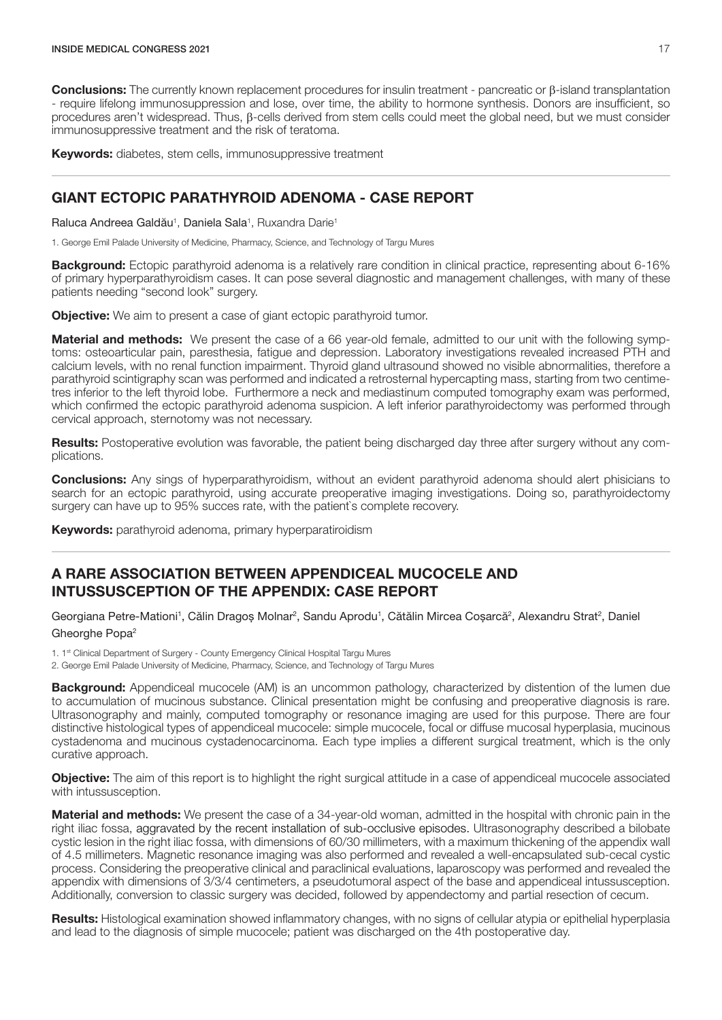<span id="page-18-0"></span>Conclusions: The currently known replacement procedures for insulin treatment - pancreatic or β-island transplantation - require lifelong immunosuppression and lose, over time, the ability to hormone synthesis. Donors are insufficient, so procedures aren't widespread. Thus, β-cells derived from stem cells could meet the global need, but we must consider immunosuppressive treatment and the risk of teratoma.

Keywords: diabetes, stem cells, immunosuppressive treatment

#### GIANT ECTOPIC PARATHYROID ADENOMA - CASE REPORT

Raluca Andreea Galdău<sup>1</sup>, Daniela Sala<sup>1</sup>, Ruxandra Darie<sup>1</sup>

1. George Emil Palade University of Medicine, Pharmacy, Science, and Technology of Targu Mures

**Background:** Ectopic parathyroid adenoma is a relatively rare condition in clinical practice, representing about 6-16% of primary hyperparathyroidism cases. It can pose several diagnostic and management challenges, with many of these patients needing "second look" surgery.

**Objective:** We aim to present a case of giant ectopic parathyroid tumor.

**Material and methods:** We present the case of a 66 year-old female, admitted to our unit with the following symptoms: osteoarticular pain, paresthesia, fatigue and depression. Laboratory investigations revealed increased PTH and calcium levels, with no renal function impairment. Thyroid gland ultrasound showed no visible abnormalities, therefore a parathyroid scintigraphy scan was performed and indicated a retrosternal hypercapting mass, starting from two centimetres inferior to the left thyroid lobe. Furthermore a neck and mediastinum computed tomography exam was performed, which confirmed the ectopic parathyroid adenoma suspicion. A left inferior parathyroidectomy was performed through cervical approach, sternotomy was not necessary.

Results: Postoperative evolution was favorable, the patient being discharged day three after surgery without any complications.

**Conclusions:** Any sings of hyperparathyroidism, without an evident parathyroid adenoma should alert phisicians to search for an ectopic parathyroid, using accurate preoperative imaging investigations. Doing so, parathyroidectomy surgery can have up to 95% succes rate, with the patient`s complete recovery.

**Keywords:** parathyroid adenoma, primary hyperparatiroidism

#### A RARE ASSOCIATION BETWEEN APPENDICEAL MUCOCELE AND INTUSSUSCEPTION OF THE APPENDIX: CASE REPORT

Georgiana Petre-Mationi<sup>1</sup>, Călin Dragoș Molnar<sup>2</sup>, Sandu Aprodu<sup>1</sup>, Cătălin Mircea Coșarcă<sup>2</sup>, Alexandru Strat<sup>2</sup>, Daniel Gheorghe Popa<sup>2</sup>

1. 1<sup>st</sup> Clinical Department of Surgery - County Emergency Clinical Hospital Targu Mures

2. George Emil Palade University of Medicine, Pharmacy, Science, and Technology of Targu Mures

Background: Appendiceal mucocele (AM) is an uncommon pathology, characterized by distention of the lumen due to accumulation of mucinous substance. Clinical presentation might be confusing and preoperative diagnosis is rare. Ultrasonography and mainly, computed tomography or resonance imaging are used for this purpose. There are four distinctive histological types of appendiceal mucocele: simple mucocele, focal or diffuse mucosal hyperplasia, mucinous cystadenoma and mucinous cystadenocarcinoma. Each type implies a different surgical treatment, which is the only curative approach.

Objective: The aim of this report is to highlight the right surgical attitude in a case of appendiceal mucocele associated with intussusception.

Material and methods: We present the case of a 34-year-old woman, admitted in the hospital with chronic pain in the right iliac fossa, aggravated by the recent installation of sub-occlusive episodes. Ultrasonography described a bilobate cystic lesion in the right iliac fossa, with dimensions of 60/30 millimeters, with a maximum thickening of the appendix wall of 4.5 millimeters. Magnetic resonance imaging was also performed and revealed a well-encapsulated sub-cecal cystic process. Considering the preoperative clinical and paraclinical evaluations, laparoscopy was performed and revealed the appendix with dimensions of 3/3/4 centimeters, a pseudotumoral aspect of the base and appendiceal intussusception. Additionally, conversion to classic surgery was decided, followed by appendectomy and partial resection of cecum.

Results: Histological examination showed inflammatory changes, with no signs of cellular atypia or epithelial hyperplasia and lead to the diagnosis of simple mucocele; patient was discharged on the 4th postoperative day.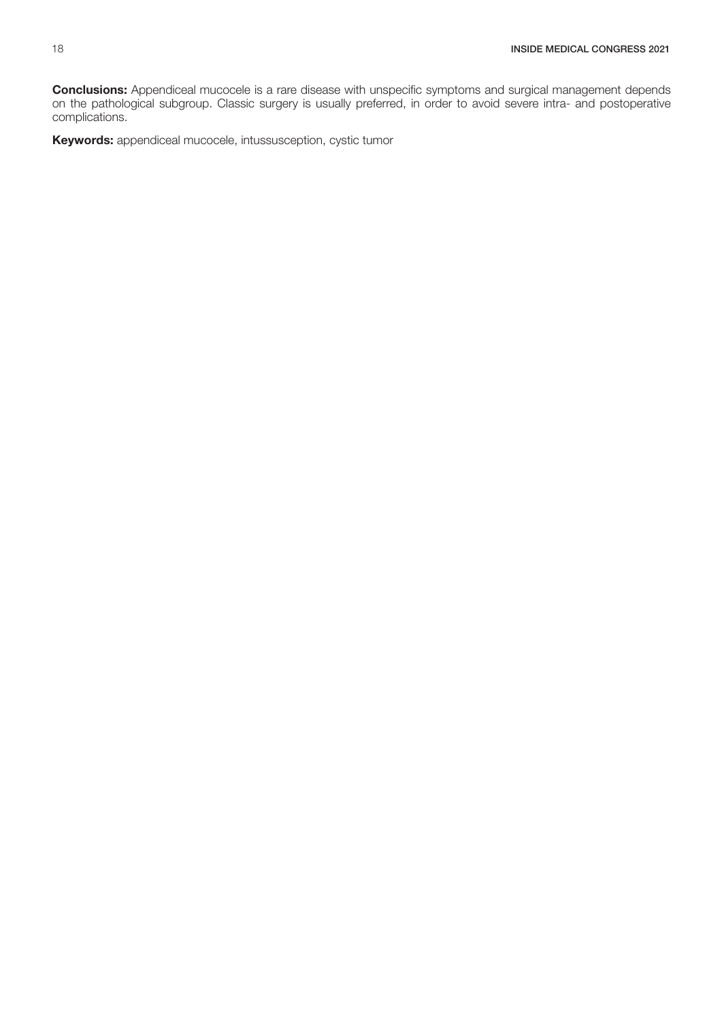**Conclusions:** Appendiceal mucocele is a rare disease with unspecific symptoms and surgical management depends on the pathological subgroup. Classic surgery is usually preferred, in order to avoid severe intra- and postoperative complications.

Keywords: appendiceal mucocele, intussusception, cystic tumor